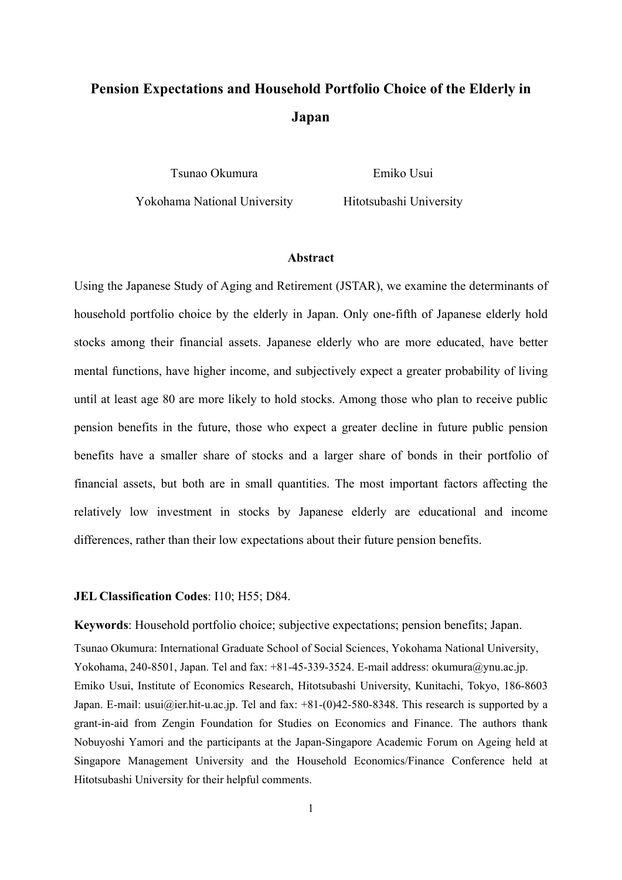# **Pension Expectations and Household Portfolio Choice of the Elderly in Japan**

Tsunao Okumura

Emiko Usui

Yokohama National University

Hitotsubashi University

#### **Abstract**

Using the Japanese Study of Aging and Retirement (JSTAR), we examine the determinants of household portfolio choice by the elderly in Japan. Only one-fifth of Japanese elderly hold stocks among their financial assets. Japanese elderly who are more educated, have better mental functions, have higher income, and subjectively expect a greater probability of living until at least age 80 are more likely to hold stocks. Among those who plan to receive public pension benefits in the future, those who expect a greater decline in future public pension benefits have a smaller share of stocks and a larger share of bonds in their portfolio of financial assets, but both are in small quantities. The most important factors affecting the relatively low investment in stocks by Japanese elderly are educational and income differences, rather than their low expectations about their future pension benefits.

#### **JEL Classification Codes**: I10; H55; D84.

**Keywords**: Household portfolio choice; subjective expectations; pension benefits; Japan. Tsunao Okumura: International Graduate School of Social Sciences, Yokohama National University, Yokohama, 240-8501, Japan. Tel and fax: +81-45-339-3524. E-mail address: okumura@ynu.ac.jp. Emiko Usui, Institute of Economics Research, Hitotsubashi University, Kunitachi, Tokyo, 186-8603 Japan. E-mail: usui@ier.hit-u.ac.jp. Tel and fax: +81-(0)42-580-8348. This research is supported by a grant-in-aid from Zengin Foundation for Studies on Economics and Finance. The authors thank Nobuyoshi Yamori and the participants at the Japan-Singapore Academic Forum on Ageing held at Singapore Management University and the Household Economics/Finance Conference held at Hitotsubashi University for their helpful comments.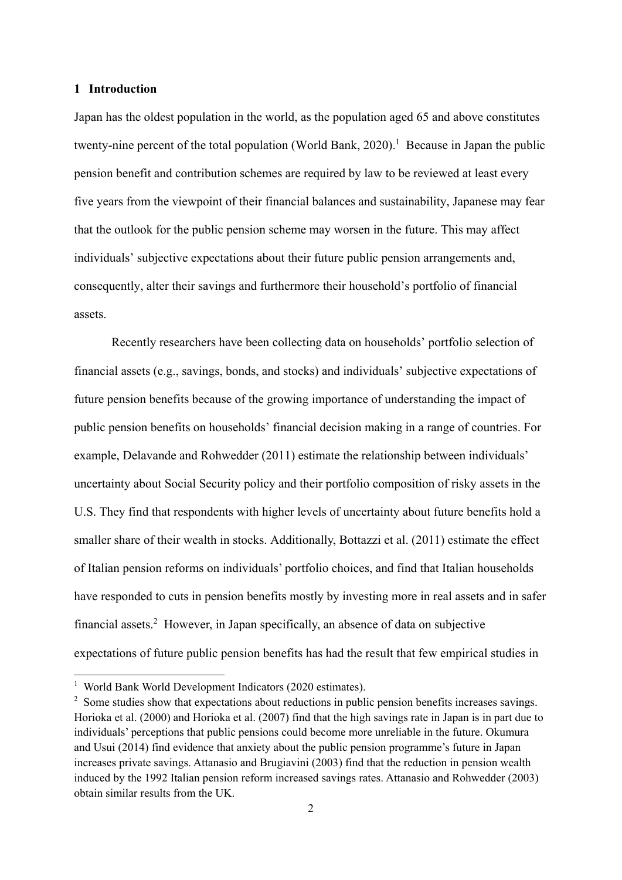## **1 Introduction**

Japan has the oldest population in the world, as the population aged 65 and above constitutes twenty-nine percent of the total population (World Bank, 2020).<sup>1</sup> Because in Japan the public pension benefit and contribution schemes are required by law to be reviewed at least every five years from the viewpoint of their financial balances and sustainability, Japanese may fear that the outlook for the public pension scheme may worsen in the future. This may affect individuals' subjective expectations about their future public pension arrangements and, consequently, alter their savings and furthermore their household's portfolio of financial assets.

Recently researchers have been collecting data on households' portfolio selection of financial assets (e.g., savings, bonds, and stocks) and individuals' subjective expectations of future pension benefits because of the growing importance of understanding the impact of public pension benefits on households' financial decision making in a range of countries. For example, Delavande and Rohwedder (2011) estimate the relationship between individuals' uncertainty about Social Security policy and their portfolio composition of risky assets in the U.S. They find that respondents with higher levels of uncertainty about future benefits hold a smaller share of their wealth in stocks. Additionally, Bottazzi et al. (2011) estimate the effect of Italian pension reforms on individuals' portfolio choices, and find that Italian households have responded to cuts in pension benefits mostly by investing more in real assets and in safer financial assets.2 However, in Japan specifically, an absence of data on subjective expectations of future public pension benefits has had the result that few empirical studies in

<sup>&</sup>lt;sup>1</sup> World Bank World Development Indicators (2020 estimates).

 $2$  Some studies show that expectations about reductions in public pension benefits increases savings. Horioka et al. (2000) and Horioka et al. (2007) find that the high savings rate in Japan is in part due to individuals' perceptions that public pensions could become more unreliable in the future. Okumura and Usui (2014) find evidence that anxiety about the public pension programme's future in Japan increases private savings. Attanasio and Brugiavini (2003) find that the reduction in pension wealth induced by the 1992 Italian pension reform increased savings rates. Attanasio and Rohwedder (2003) obtain similar results from the UK.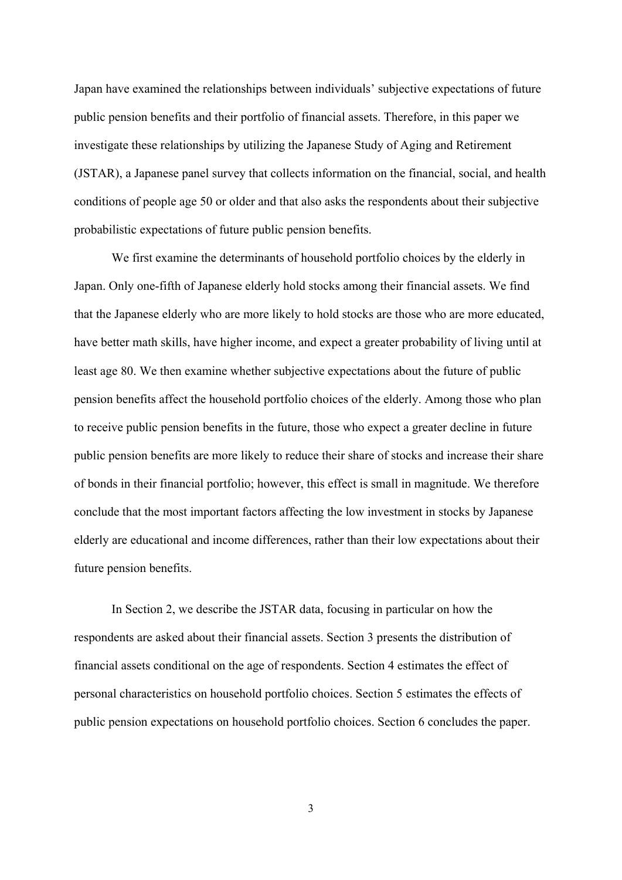Japan have examined the relationships between individuals' subjective expectations of future public pension benefits and their portfolio of financial assets. Therefore, in this paper we investigate these relationships by utilizing the Japanese Study of Aging and Retirement (JSTAR), a Japanese panel survey that collects information on the financial, social, and health conditions of people age 50 or older and that also asks the respondents about their subjective probabilistic expectations of future public pension benefits.

We first examine the determinants of household portfolio choices by the elderly in Japan. Only one-fifth of Japanese elderly hold stocks among their financial assets. We find that the Japanese elderly who are more likely to hold stocks are those who are more educated, have better math skills, have higher income, and expect a greater probability of living until at least age 80. We then examine whether subjective expectations about the future of public pension benefits affect the household portfolio choices of the elderly. Among those who plan to receive public pension benefits in the future, those who expect a greater decline in future public pension benefits are more likely to reduce their share of stocks and increase their share of bonds in their financial portfolio; however, this effect is small in magnitude. We therefore conclude that the most important factors affecting the low investment in stocks by Japanese elderly are educational and income differences, rather than their low expectations about their future pension benefits.

In Section 2, we describe the JSTAR data, focusing in particular on how the respondents are asked about their financial assets. Section 3 presents the distribution of financial assets conditional on the age of respondents. Section 4 estimates the effect of personal characteristics on household portfolio choices. Section 5 estimates the effects of public pension expectations on household portfolio choices. Section 6 concludes the paper.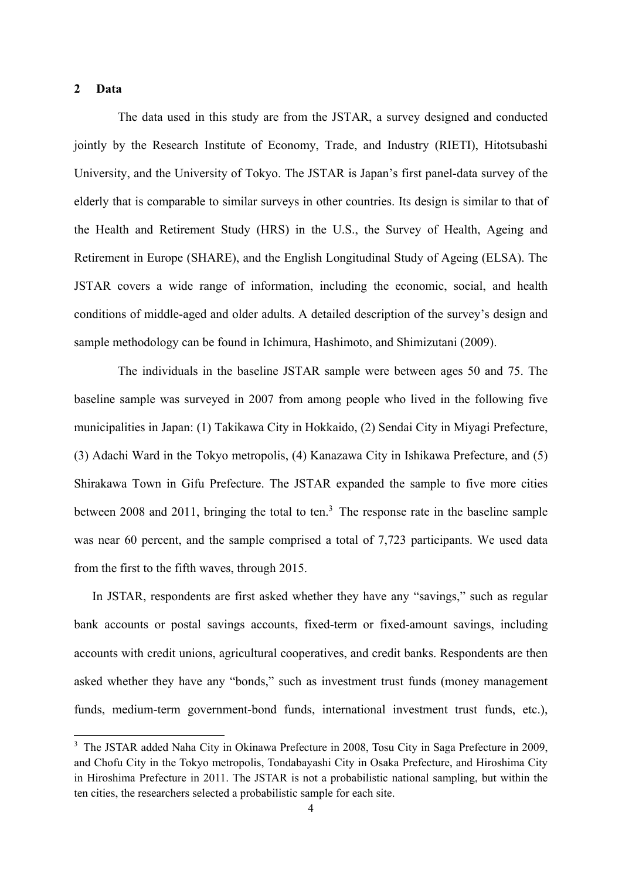## **2 Data**

1

The data used in this study are from the JSTAR, a survey designed and conducted jointly by the Research Institute of Economy, Trade, and Industry (RIETI), Hitotsubashi University, and the University of Tokyo. The JSTAR is Japan's first panel-data survey of the elderly that is comparable to similar surveys in other countries. Its design is similar to that of the Health and Retirement Study (HRS) in the U.S., the Survey of Health, Ageing and Retirement in Europe (SHARE), and the English Longitudinal Study of Ageing (ELSA). The JSTAR covers a wide range of information, including the economic, social, and health conditions of middle-aged and older adults. A detailed description of the survey's design and sample methodology can be found in Ichimura, Hashimoto, and Shimizutani (2009).

The individuals in the baseline JSTAR sample were between ages 50 and 75. The baseline sample was surveyed in 2007 from among people who lived in the following five municipalities in Japan: (1) Takikawa City in Hokkaido, (2) Sendai City in Miyagi Prefecture, (3) Adachi Ward in the Tokyo metropolis, (4) Kanazawa City in Ishikawa Prefecture, and (5) Shirakawa Town in Gifu Prefecture. The JSTAR expanded the sample to five more cities between 2008 and 2011, bringing the total to ten.<sup>3</sup> The response rate in the baseline sample was near 60 percent, and the sample comprised a total of 7,723 participants. We used data from the first to the fifth waves, through 2015.

In JSTAR, respondents are first asked whether they have any "savings," such as regular bank accounts or postal savings accounts, fixed-term or fixed-amount savings, including accounts with credit unions, agricultural cooperatives, and credit banks. Respondents are then asked whether they have any "bonds," such as investment trust funds (money management funds, medium-term government-bond funds, international investment trust funds, etc.),

<sup>&</sup>lt;sup>3</sup> The JSTAR added Naha City in Okinawa Prefecture in 2008, Tosu City in Saga Prefecture in 2009, and Chofu City in the Tokyo metropolis, Tondabayashi City in Osaka Prefecture, and Hiroshima City in Hiroshima Prefecture in 2011. The JSTAR is not a probabilistic national sampling, but within the ten cities, the researchers selected a probabilistic sample for each site.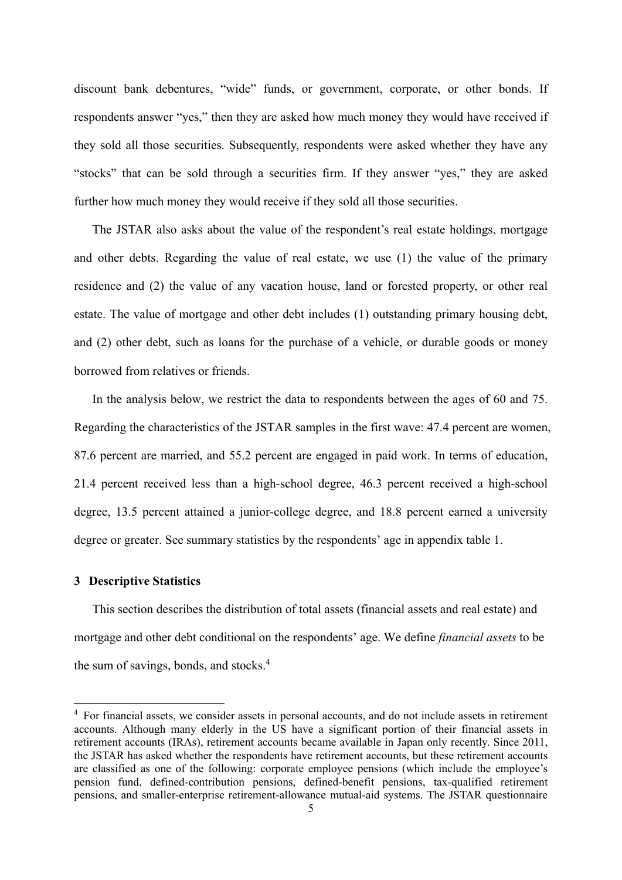discount bank debentures, "wide" funds, or government, corporate, or other bonds. If respondents answer "yes," then they are asked how much money they would have received if they sold all those securities. Subsequently, respondents were asked whether they have any "stocks" that can be sold through a securities firm. If they answer "yes," they are asked further how much money they would receive if they sold all those securities.

The JSTAR also asks about the value of the respondent's real estate holdings, mortgage and other debts. Regarding the value of real estate, we use (1) the value of the primary residence and (2) the value of any vacation house, land or forested property, or other real estate. The value of mortgage and other debt includes (1) outstanding primary housing debt, and (2) other debt, such as loans for the purchase of a vehicle, or durable goods or money borrowed from relatives or friends.

In the analysis below, we restrict the data to respondents between the ages of 60 and 75. Regarding the characteristics of the JSTAR samples in the first wave: 47.4 percent are women, 87.6 percent are married, and 55.2 percent are engaged in paid work. In terms of education, 21.4 percent received less than a high-school degree, 46.3 percent received a high-school degree, 13.5 percent attained a junior-college degree, and 18.8 percent earned a university degree or greater. See summary statistics by the respondents' age in appendix table 1.

#### **3 Descriptive Statistics**

1

This section describes the distribution of total assets (financial assets and real estate) and mortgage and other debt conditional on the respondents' age. We define *financial assets* to be the sum of savings, bonds, and stocks.<sup>4</sup>

<sup>&</sup>lt;sup>4</sup> For financial assets, we consider assets in personal accounts, and do not include assets in retirement accounts. Although many elderly in the US have a significant portion of their financial assets in retirement accounts (IRAs), retirement accounts became available in Japan only recently. Since 2011, the JSTAR has asked whether the respondents have retirement accounts, but these retirement accounts are classified as one of the following: corporate employee pensions (which include the employee's pension fund, defined-contribution pensions, defined-benefit pensions, tax-qualified retirement pensions, and smaller-enterprise retirement-allowance mutual-aid systems. The JSTAR questionnaire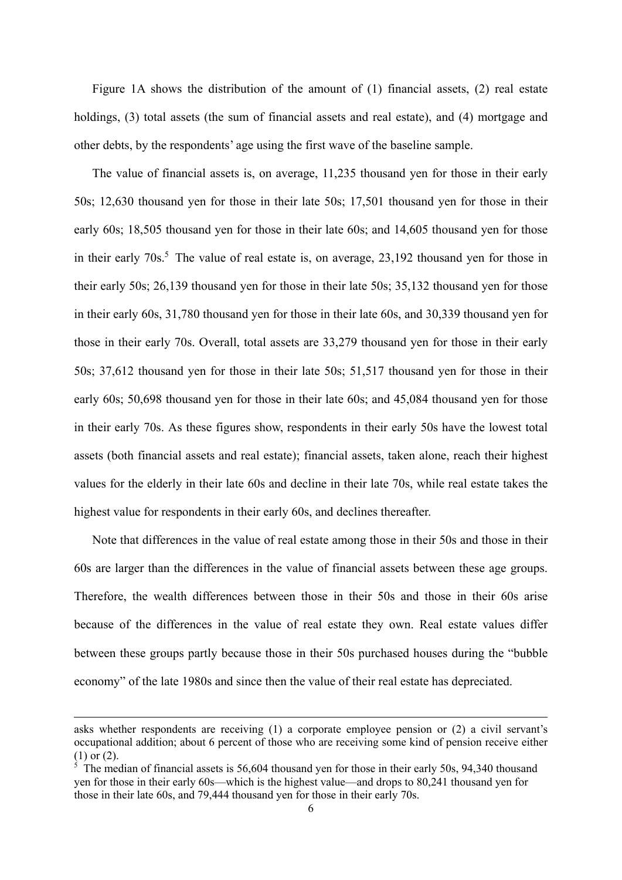Figure 1A shows the distribution of the amount of (1) financial assets, (2) real estate holdings, (3) total assets (the sum of financial assets and real estate), and (4) mortgage and other debts, by the respondents' age using the first wave of the baseline sample.

The value of financial assets is, on average, 11,235 thousand yen for those in their early 50s; 12,630 thousand yen for those in their late 50s; 17,501 thousand yen for those in their early 60s; 18,505 thousand yen for those in their late 60s; and 14,605 thousand yen for those in their early  $70s$ .<sup>5</sup> The value of real estate is, on average,  $23,192$  thousand yen for those in their early 50s; 26,139 thousand yen for those in their late 50s; 35,132 thousand yen for those in their early 60s, 31,780 thousand yen for those in their late 60s, and 30,339 thousand yen for those in their early 70s. Overall, total assets are 33,279 thousand yen for those in their early 50s; 37,612 thousand yen for those in their late 50s; 51,517 thousand yen for those in their early 60s; 50,698 thousand yen for those in their late 60s; and 45,084 thousand yen for those in their early 70s. As these figures show, respondents in their early 50s have the lowest total assets (both financial assets and real estate); financial assets, taken alone, reach their highest values for the elderly in their late 60s and decline in their late 70s, while real estate takes the highest value for respondents in their early 60s, and declines thereafter.

Note that differences in the value of real estate among those in their 50s and those in their 60s are larger than the differences in the value of financial assets between these age groups. Therefore, the wealth differences between those in their 50s and those in their 60s arise because of the differences in the value of real estate they own. Real estate values differ between these groups partly because those in their 50s purchased houses during the "bubble economy" of the late 1980s and since then the value of their real estate has depreciated.

asks whether respondents are receiving (1) a corporate employee pension or (2) a civil servant's occupational addition; about 6 percent of those who are receiving some kind of pension receive either (1) or (2).

<sup>&</sup>lt;sup>5</sup> The median of financial assets is 56,604 thousand yen for those in their early 50s, 94,340 thousand yen for those in their early 60s—which is the highest value—and drops to 80,241 thousand yen for those in their late 60s, and 79,444 thousand yen for those in their early 70s.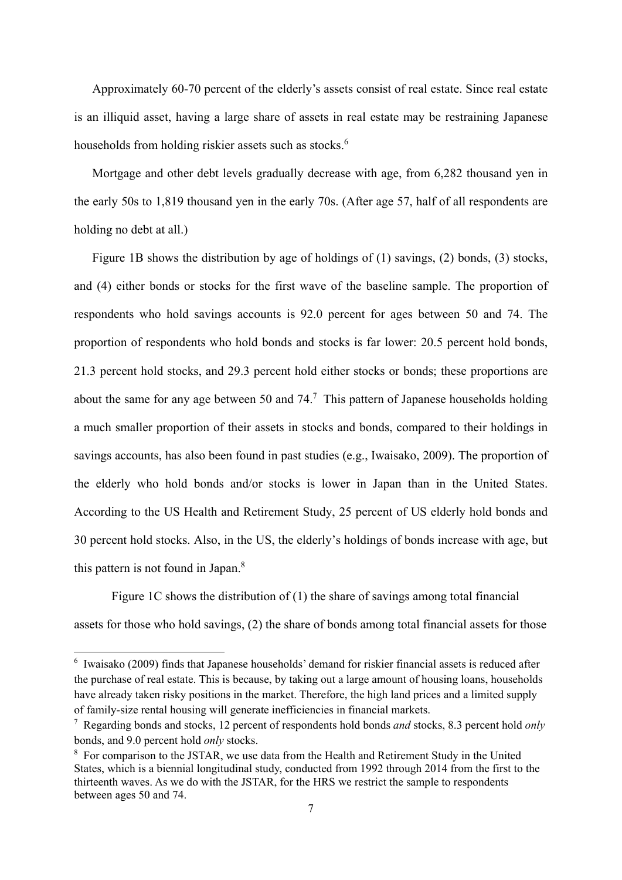Approximately 60-70 percent of the elderly's assets consist of real estate. Since real estate is an illiquid asset, having a large share of assets in real estate may be restraining Japanese households from holding riskier assets such as stocks.<sup>6</sup>

Mortgage and other debt levels gradually decrease with age, from 6,282 thousand yen in the early 50s to 1,819 thousand yen in the early 70s. (After age 57, half of all respondents are holding no debt at all.)

Figure 1B shows the distribution by age of holdings of (1) savings, (2) bonds, (3) stocks, and (4) either bonds or stocks for the first wave of the baseline sample. The proportion of respondents who hold savings accounts is 92.0 percent for ages between 50 and 74. The proportion of respondents who hold bonds and stocks is far lower: 20.5 percent hold bonds, 21.3 percent hold stocks, and 29.3 percent hold either stocks or bonds; these proportions are about the same for any age between 50 and  $74<sup>7</sup>$ . This pattern of Japanese households holding a much smaller proportion of their assets in stocks and bonds, compared to their holdings in savings accounts, has also been found in past studies (e.g., Iwaisako, 2009). The proportion of the elderly who hold bonds and/or stocks is lower in Japan than in the United States. According to the US Health and Retirement Study, 25 percent of US elderly hold bonds and 30 percent hold stocks. Also, in the US, the elderly's holdings of bonds increase with age, but this pattern is not found in Japan.8

Figure 1C shows the distribution of (1) the share of savings among total financial assets for those who hold savings, (2) the share of bonds among total financial assets for those

 6 Iwaisako (2009) finds that Japanese households' demand for riskier financial assets is reduced after the purchase of real estate. This is because, by taking out a large amount of housing loans, households have already taken risky positions in the market. Therefore, the high land prices and a limited supply of family-size rental housing will generate inefficiencies in financial markets.

<sup>7</sup> Regarding bonds and stocks, 12 percent of respondents hold bonds *and* stocks, 8.3 percent hold *only* bonds, and 9.0 percent hold *only* stocks.

<sup>&</sup>lt;sup>8</sup> For comparison to the JSTAR, we use data from the Health and Retirement Study in the United States, which is a biennial longitudinal study, conducted from 1992 through 2014 from the first to the thirteenth waves. As we do with the JSTAR, for the HRS we restrict the sample to respondents between ages 50 and 74.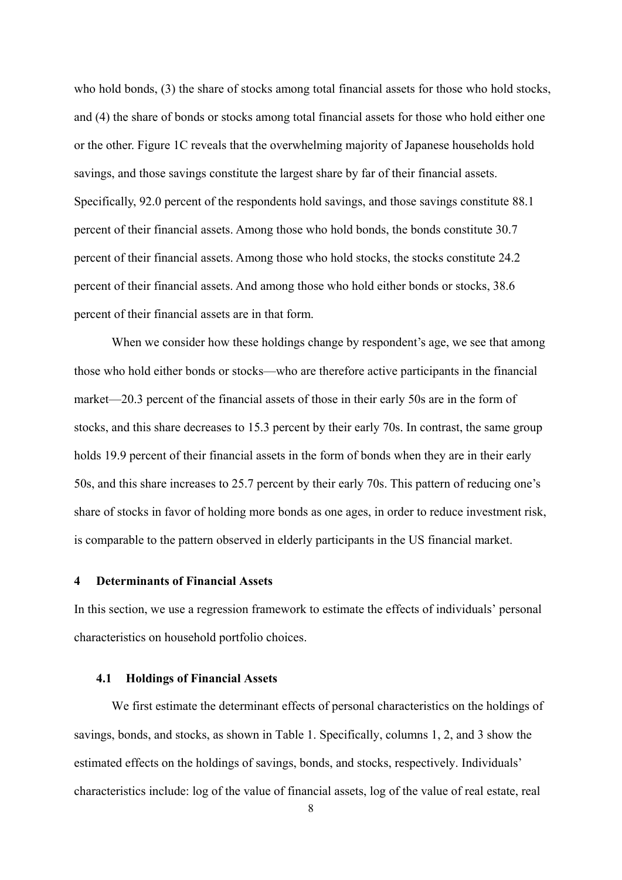who hold bonds, (3) the share of stocks among total financial assets for those who hold stocks, and (4) the share of bonds or stocks among total financial assets for those who hold either one or the other. Figure 1C reveals that the overwhelming majority of Japanese households hold savings, and those savings constitute the largest share by far of their financial assets. Specifically, 92.0 percent of the respondents hold savings, and those savings constitute 88.1 percent of their financial assets. Among those who hold bonds, the bonds constitute 30.7 percent of their financial assets. Among those who hold stocks, the stocks constitute 24.2 percent of their financial assets. And among those who hold either bonds or stocks, 38.6 percent of their financial assets are in that form.

When we consider how these holdings change by respondent's age, we see that among those who hold either bonds or stocks—who are therefore active participants in the financial market—20.3 percent of the financial assets of those in their early 50s are in the form of stocks, and this share decreases to 15.3 percent by their early 70s. In contrast, the same group holds 19.9 percent of their financial assets in the form of bonds when they are in their early 50s, and this share increases to 25.7 percent by their early 70s. This pattern of reducing one's share of stocks in favor of holding more bonds as one ages, in order to reduce investment risk, is comparable to the pattern observed in elderly participants in the US financial market.

## **4 Determinants of Financial Assets**

In this section, we use a regression framework to estimate the effects of individuals' personal characteristics on household portfolio choices.

#### **4.1 Holdings of Financial Assets**

We first estimate the determinant effects of personal characteristics on the holdings of savings, bonds, and stocks, as shown in Table 1. Specifically, columns 1, 2, and 3 show the estimated effects on the holdings of savings, bonds, and stocks, respectively. Individuals' characteristics include: log of the value of financial assets, log of the value of real estate, real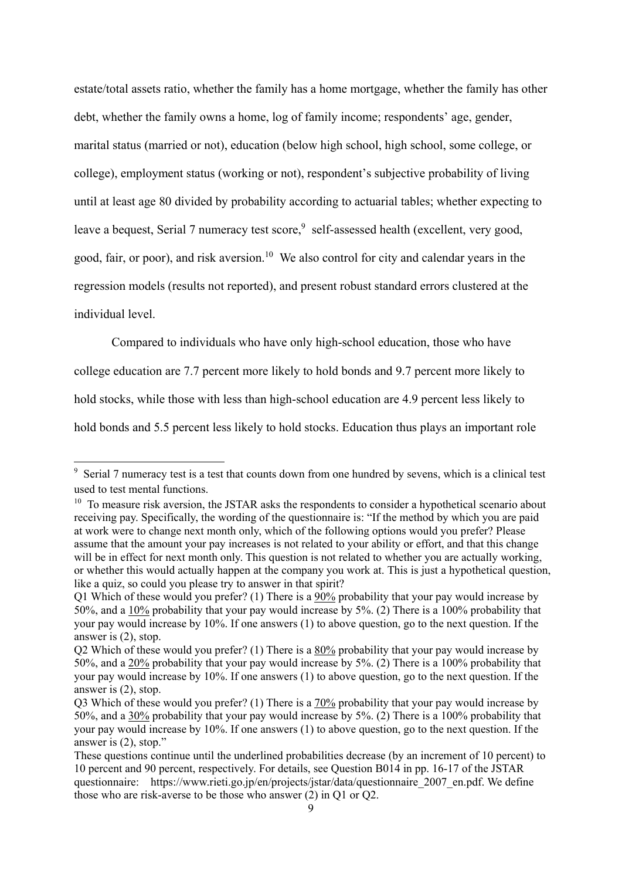estate/total assets ratio, whether the family has a home mortgage, whether the family has other debt, whether the family owns a home, log of family income; respondents' age, gender, marital status (married or not), education (below high school, high school, some college, or college), employment status (working or not), respondent's subjective probability of living until at least age 80 divided by probability according to actuarial tables; whether expecting to leave a bequest, Serial 7 numeracy test score,<sup>9</sup> self-assessed health (excellent, very good, good, fair, or poor), and risk aversion.<sup>10</sup> We also control for city and calendar years in the regression models (results not reported), and present robust standard errors clustered at the individual level.

Compared to individuals who have only high-school education, those who have college education are 7.7 percent more likely to hold bonds and 9.7 percent more likely to hold stocks, while those with less than high-school education are 4.9 percent less likely to hold bonds and 5.5 percent less likely to hold stocks. Education thus plays an important role

Serial 7 numeracy test is a test that counts down from one hundred by sevens, which is a clinical test used to test mental functions.

<sup>&</sup>lt;sup>10</sup> To measure risk aversion, the JSTAR asks the respondents to consider a hypothetical scenario about receiving pay. Specifically, the wording of the questionnaire is: "If the method by which you are paid at work were to change next month only, which of the following options would you prefer? Please assume that the amount your pay increases is not related to your ability or effort, and that this change will be in effect for next month only. This question is not related to whether you are actually working, or whether this would actually happen at the company you work at. This is just a hypothetical question, like a quiz, so could you please try to answer in that spirit?

Q1 Which of these would you prefer? (1) There is a 90% probability that your pay would increase by 50%, and a 10% probability that your pay would increase by 5%. (2) There is a 100% probability that your pay would increase by 10%. If one answers (1) to above question, go to the next question. If the answer is (2), stop.

Q2 Which of these would you prefer? (1) There is a 80% probability that your pay would increase by 50%, and a 20% probability that your pay would increase by 5%. (2) There is a 100% probability that your pay would increase by 10%. If one answers (1) to above question, go to the next question. If the answer is (2), stop.

Q3 Which of these would you prefer? (1) There is a 70% probability that your pay would increase by 50%, and a 30% probability that your pay would increase by 5%. (2) There is a 100% probability that your pay would increase by 10%. If one answers (1) to above question, go to the next question. If the answer is (2), stop."

These questions continue until the underlined probabilities decrease (by an increment of 10 percent) to 10 percent and 90 percent, respectively. For details, see Question B014 in pp. 16-17 of the JSTAR questionnaire: https://www.rieti.go.jp/en/projects/jstar/data/questionnaire 2007 en.pdf. We define those who are risk-averse to be those who answer (2) in Q1 or Q2.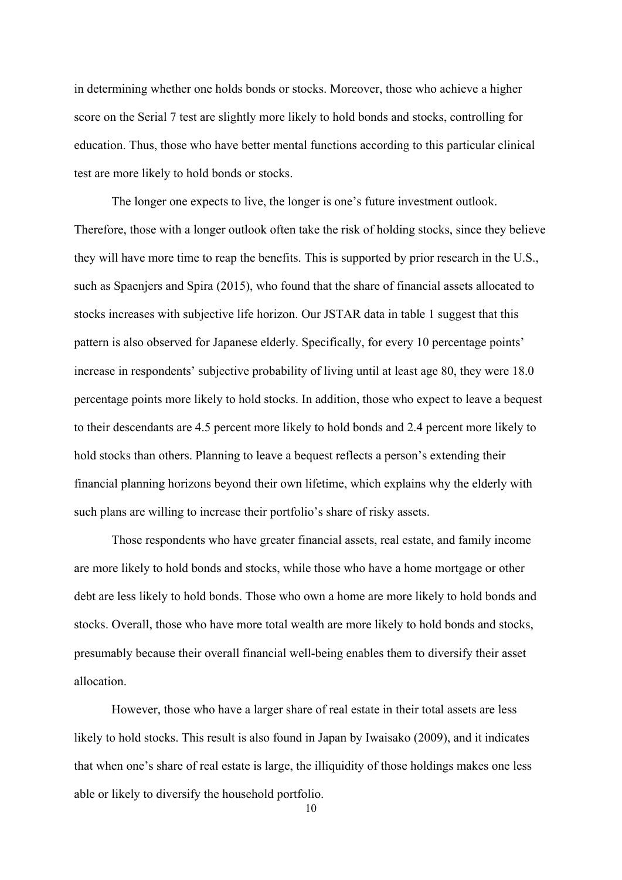in determining whether one holds bonds or stocks. Moreover, those who achieve a higher score on the Serial 7 test are slightly more likely to hold bonds and stocks, controlling for education. Thus, those who have better mental functions according to this particular clinical test are more likely to hold bonds or stocks.

The longer one expects to live, the longer is one's future investment outlook. Therefore, those with a longer outlook often take the risk of holding stocks, since they believe they will have more time to reap the benefits. This is supported by prior research in the U.S., such as Spaenjers and Spira (2015), who found that the share of financial assets allocated to stocks increases with subjective life horizon. Our JSTAR data in table 1 suggest that this pattern is also observed for Japanese elderly. Specifically, for every 10 percentage points' increase in respondents' subjective probability of living until at least age 80, they were 18.0 percentage points more likely to hold stocks. In addition, those who expect to leave a bequest to their descendants are 4.5 percent more likely to hold bonds and 2.4 percent more likely to hold stocks than others. Planning to leave a bequest reflects a person's extending their financial planning horizons beyond their own lifetime, which explains why the elderly with such plans are willing to increase their portfolio's share of risky assets.

Those respondents who have greater financial assets, real estate, and family income are more likely to hold bonds and stocks, while those who have a home mortgage or other debt are less likely to hold bonds. Those who own a home are more likely to hold bonds and stocks. Overall, those who have more total wealth are more likely to hold bonds and stocks, presumably because their overall financial well-being enables them to diversify their asset allocation.

However, those who have a larger share of real estate in their total assets are less likely to hold stocks. This result is also found in Japan by Iwaisako (2009), and it indicates that when one's share of real estate is large, the illiquidity of those holdings makes one less able or likely to diversify the household portfolio.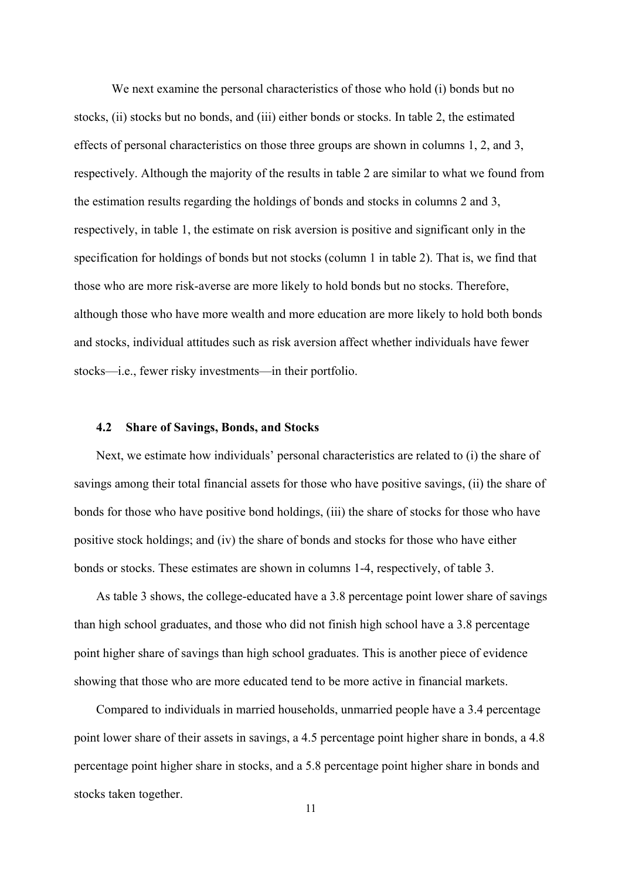We next examine the personal characteristics of those who hold (i) bonds but no stocks, (ii) stocks but no bonds, and (iii) either bonds or stocks. In table 2, the estimated effects of personal characteristics on those three groups are shown in columns 1, 2, and 3, respectively. Although the majority of the results in table 2 are similar to what we found from the estimation results regarding the holdings of bonds and stocks in columns 2 and 3, respectively, in table 1, the estimate on risk aversion is positive and significant only in the specification for holdings of bonds but not stocks (column 1 in table 2). That is, we find that those who are more risk-averse are more likely to hold bonds but no stocks. Therefore, although those who have more wealth and more education are more likely to hold both bonds and stocks, individual attitudes such as risk aversion affect whether individuals have fewer stocks—i.e., fewer risky investments—in their portfolio.

## **4.2 Share of Savings, Bonds, and Stocks**

Next, we estimate how individuals' personal characteristics are related to (i) the share of savings among their total financial assets for those who have positive savings, (ii) the share of bonds for those who have positive bond holdings, (iii) the share of stocks for those who have positive stock holdings; and (iv) the share of bonds and stocks for those who have either bonds or stocks. These estimates are shown in columns 1-4, respectively, of table 3.

As table 3 shows, the college-educated have a 3.8 percentage point lower share of savings than high school graduates, and those who did not finish high school have a 3.8 percentage point higher share of savings than high school graduates. This is another piece of evidence showing that those who are more educated tend to be more active in financial markets.

Compared to individuals in married households, unmarried people have a 3.4 percentage point lower share of their assets in savings, a 4.5 percentage point higher share in bonds, a 4.8 percentage point higher share in stocks, and a 5.8 percentage point higher share in bonds and stocks taken together.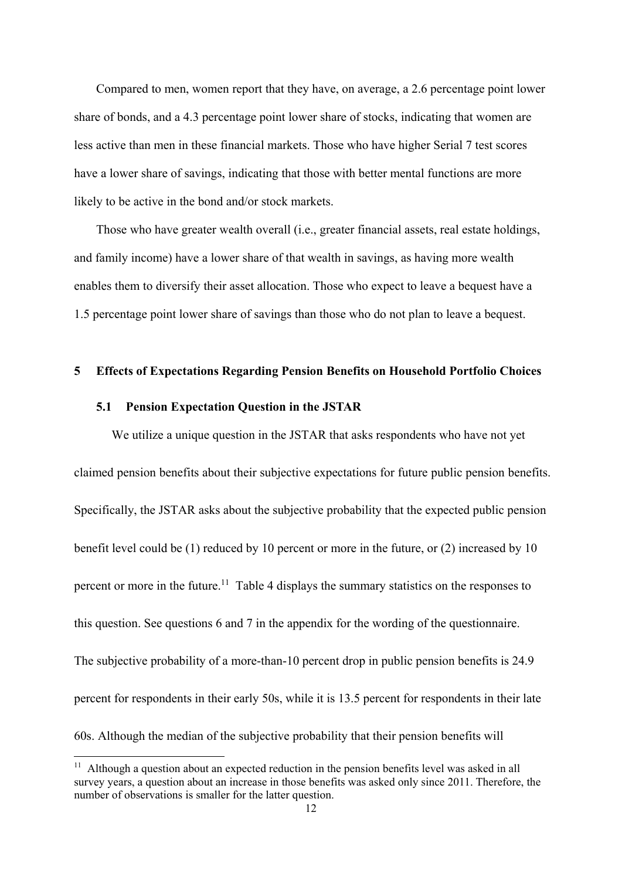Compared to men, women report that they have, on average, a 2.6 percentage point lower share of bonds, and a 4.3 percentage point lower share of stocks, indicating that women are less active than men in these financial markets. Those who have higher Serial 7 test scores have a lower share of savings, indicating that those with better mental functions are more likely to be active in the bond and/or stock markets.

Those who have greater wealth overall (i.e., greater financial assets, real estate holdings, and family income) have a lower share of that wealth in savings, as having more wealth enables them to diversify their asset allocation. Those who expect to leave a bequest have a 1.5 percentage point lower share of savings than those who do not plan to leave a bequest.

## **5 Effects of Expectations Regarding Pension Benefits on Household Portfolio Choices**

## **5.1 Pension Expectation Question in the JSTAR**

1

We utilize a unique question in the JSTAR that asks respondents who have not yet claimed pension benefits about their subjective expectations for future public pension benefits. Specifically, the JSTAR asks about the subjective probability that the expected public pension benefit level could be (1) reduced by 10 percent or more in the future, or (2) increased by 10 percent or more in the future.<sup>11</sup> Table 4 displays the summary statistics on the responses to this question. See questions 6 and 7 in the appendix for the wording of the questionnaire. The subjective probability of a more-than-10 percent drop in public pension benefits is 24.9 percent for respondents in their early 50s, while it is 13.5 percent for respondents in their late 60s. Although the median of the subjective probability that their pension benefits will

 $11$  Although a question about an expected reduction in the pension benefits level was asked in all survey years, a question about an increase in those benefits was asked only since 2011. Therefore, the number of observations is smaller for the latter question.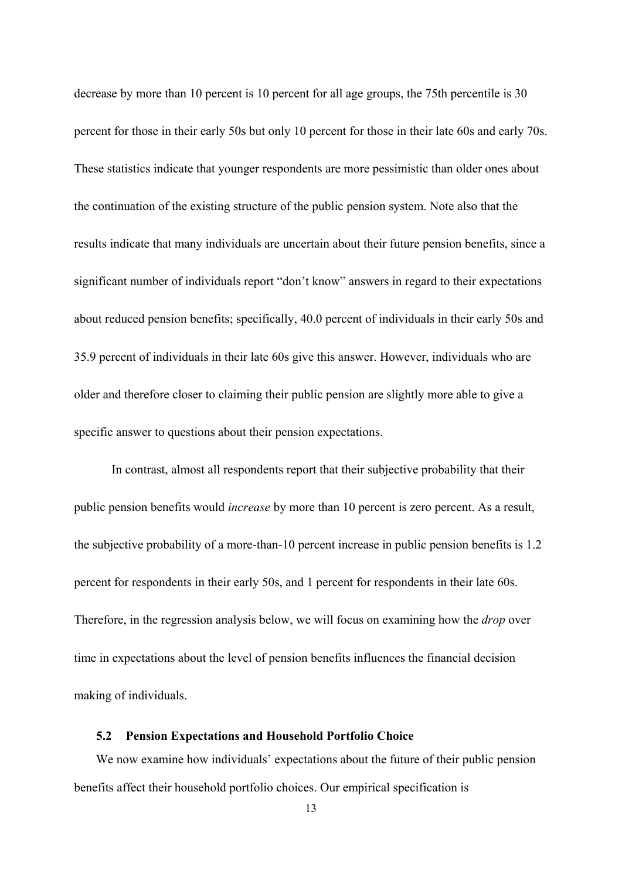decrease by more than 10 percent is 10 percent for all age groups, the 75th percentile is 30 percent for those in their early 50s but only 10 percent for those in their late 60s and early 70s. These statistics indicate that younger respondents are more pessimistic than older ones about the continuation of the existing structure of the public pension system. Note also that the results indicate that many individuals are uncertain about their future pension benefits, since a significant number of individuals report "don't know" answers in regard to their expectations about reduced pension benefits; specifically, 40.0 percent of individuals in their early 50s and 35.9 percent of individuals in their late 60s give this answer. However, individuals who are older and therefore closer to claiming their public pension are slightly more able to give a specific answer to questions about their pension expectations.

In contrast, almost all respondents report that their subjective probability that their public pension benefits would *increase* by more than 10 percent is zero percent. As a result, the subjective probability of a more-than-10 percent increase in public pension benefits is 1.2 percent for respondents in their early 50s, and 1 percent for respondents in their late 60s. Therefore, in the regression analysis below, we will focus on examining how the *drop* over time in expectations about the level of pension benefits influences the financial decision making of individuals.

#### **5.2 Pension Expectations and Household Portfolio Choice**

We now examine how individuals' expectations about the future of their public pension benefits affect their household portfolio choices. Our empirical specification is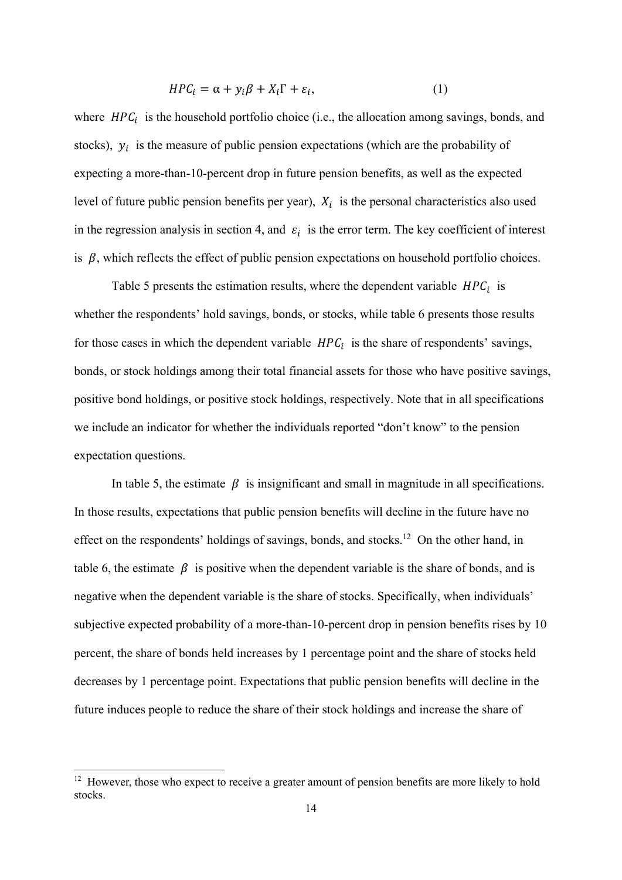$$
HPC_i = \alpha + y_i \beta + X_i \Gamma + \varepsilon_i, \tag{1}
$$

where  $HPC<sub>i</sub>$  is the household portfolio choice (i.e., the allocation among savings, bonds, and stocks),  $y_i$  is the measure of public pension expectations (which are the probability of expecting a more-than-10-percent drop in future pension benefits, as well as the expected level of future public pension benefits per year),  $X_i$  is the personal characteristics also used in the regression analysis in section 4, and  $\varepsilon_i$  is the error term. The key coefficient of interest is  $\beta$ , which reflects the effect of public pension expectations on household portfolio choices.

Table 5 presents the estimation results, where the dependent variable  $HPC<sub>i</sub>$  is whether the respondents' hold savings, bonds, or stocks, while table 6 presents those results for those cases in which the dependent variable  $HPC<sub>i</sub>$  is the share of respondents' savings, bonds, or stock holdings among their total financial assets for those who have positive savings, positive bond holdings, or positive stock holdings, respectively. Note that in all specifications we include an indicator for whether the individuals reported "don't know" to the pension expectation questions.

In table 5, the estimate  $\beta$  is insignificant and small in magnitude in all specifications. In those results, expectations that public pension benefits will decline in the future have no effect on the respondents' holdings of savings, bonds, and stocks.<sup>12</sup> On the other hand, in table 6, the estimate  $\beta$  is positive when the dependent variable is the share of bonds, and is negative when the dependent variable is the share of stocks. Specifically, when individuals' subjective expected probability of a more-than-10-percent drop in pension benefits rises by 10 percent, the share of bonds held increases by 1 percentage point and the share of stocks held decreases by 1 percentage point. Expectations that public pension benefits will decline in the future induces people to reduce the share of their stock holdings and increase the share of

 $12$  However, those who expect to receive a greater amount of pension benefits are more likely to hold stocks.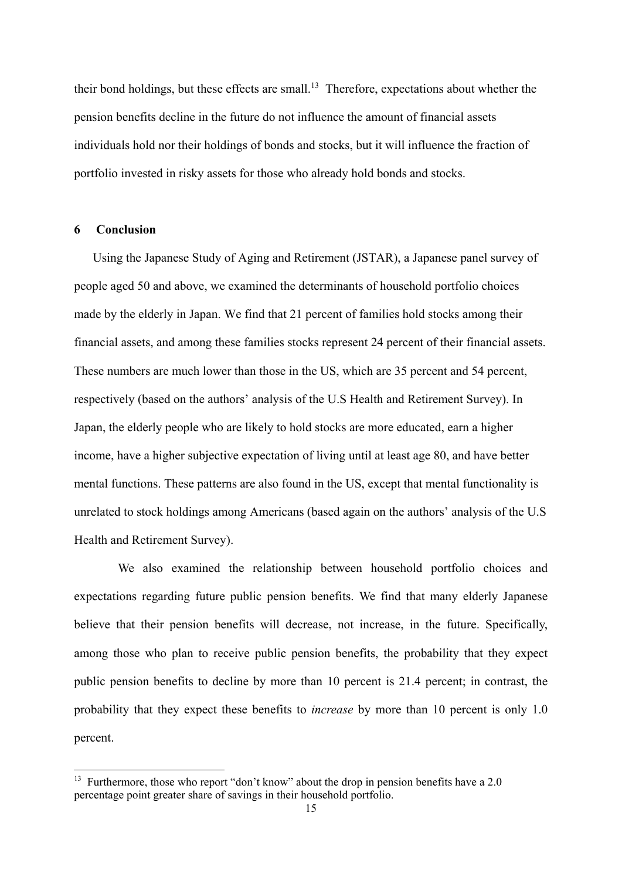their bond holdings, but these effects are small.<sup>13</sup> Therefore, expectations about whether the pension benefits decline in the future do not influence the amount of financial assets individuals hold nor their holdings of bonds and stocks, but it will influence the fraction of portfolio invested in risky assets for those who already hold bonds and stocks.

## **6 Conclusion**

1

Using the Japanese Study of Aging and Retirement (JSTAR), a Japanese panel survey of people aged 50 and above, we examined the determinants of household portfolio choices made by the elderly in Japan. We find that 21 percent of families hold stocks among their financial assets, and among these families stocks represent 24 percent of their financial assets. These numbers are much lower than those in the US, which are 35 percent and 54 percent, respectively (based on the authors' analysis of the U.S Health and Retirement Survey). In Japan, the elderly people who are likely to hold stocks are more educated, earn a higher income, have a higher subjective expectation of living until at least age 80, and have better mental functions. These patterns are also found in the US, except that mental functionality is unrelated to stock holdings among Americans (based again on the authors' analysis of the U.S Health and Retirement Survey).

We also examined the relationship between household portfolio choices and expectations regarding future public pension benefits. We find that many elderly Japanese believe that their pension benefits will decrease, not increase, in the future. Specifically, among those who plan to receive public pension benefits, the probability that they expect public pension benefits to decline by more than 10 percent is 21.4 percent; in contrast, the probability that they expect these benefits to *increase* by more than 10 percent is only 1.0 percent.

<sup>&</sup>lt;sup>13</sup> Furthermore, those who report "don't know" about the drop in pension benefits have a 2.0 percentage point greater share of savings in their household portfolio.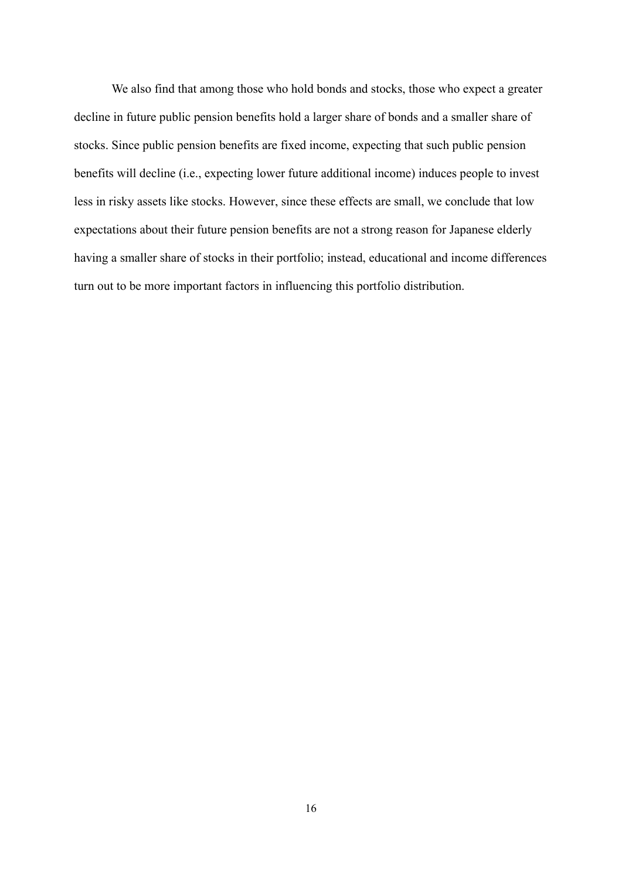We also find that among those who hold bonds and stocks, those who expect a greater decline in future public pension benefits hold a larger share of bonds and a smaller share of stocks. Since public pension benefits are fixed income, expecting that such public pension benefits will decline (i.e., expecting lower future additional income) induces people to invest less in risky assets like stocks. However, since these effects are small, we conclude that low expectations about their future pension benefits are not a strong reason for Japanese elderly having a smaller share of stocks in their portfolio; instead, educational and income differences turn out to be more important factors in influencing this portfolio distribution.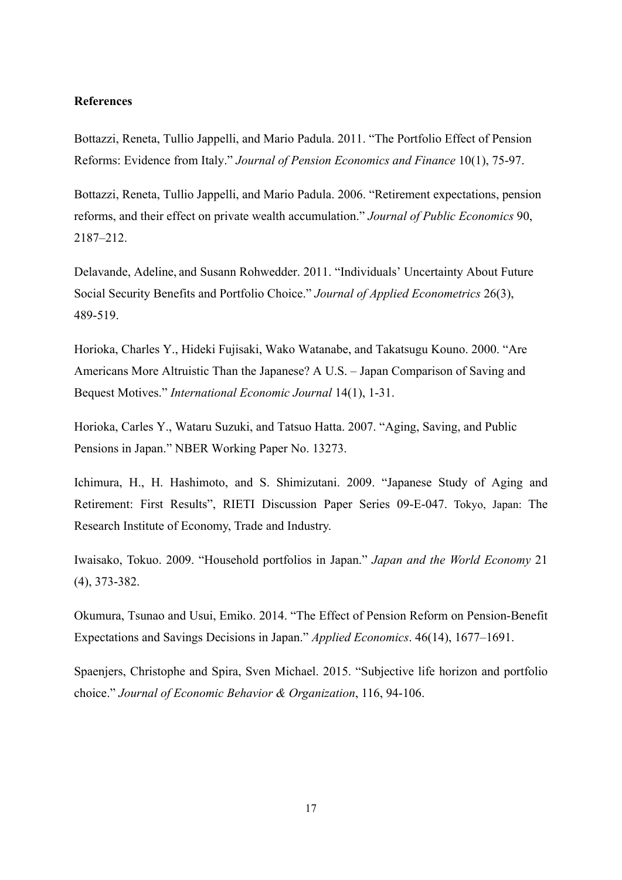## **References**

Bottazzi, Reneta, Tullio Jappelli, and Mario Padula. 2011. "The Portfolio Effect of Pension Reforms: Evidence from Italy." *Journal of Pension Economics and Finance* 10(1), 75-97.

Bottazzi, Reneta, Tullio Jappelli, and Mario Padula. 2006. "Retirement expectations, pension reforms, and their effect on private wealth accumulation." *Journal of Public Economics* 90, 2187–212.

Delavande, Adeline, and Susann Rohwedder. 2011. "Individuals' Uncertainty About Future Social Security Benefits and Portfolio Choice." *Journal of Applied Econometrics* 26(3), 489-519.

Horioka, Charles Y., Hideki Fujisaki, Wako Watanabe, and Takatsugu Kouno. 2000. "Are Americans More Altruistic Than the Japanese? A U.S. – Japan Comparison of Saving and Bequest Motives." *International Economic Journal* 14(1), 1-31.

Horioka, Carles Y., Wataru Suzuki, and Tatsuo Hatta. 2007. "Aging, Saving, and Public Pensions in Japan." NBER Working Paper No. 13273.

Ichimura, H., H. Hashimoto, and S. Shimizutani. 2009. "Japanese Study of Aging and Retirement: First Results", RIETI Discussion Paper Series 09-E-047. Tokyo, Japan: The Research Institute of Economy, Trade and Industry.

Iwaisako, Tokuo. 2009. "Household portfolios in Japan." *Japan and the World Economy* 21 (4), 373-382.

Okumura, Tsunao and Usui, Emiko. 2014. "The Effect of Pension Reform on Pension-Benefit Expectations and Savings Decisions in Japan." *Applied Economics*. 46(14), 1677–1691.

Spaenjers, Christophe and Spira, Sven Michael. 2015. "Subjective life horizon and portfolio choice." *Journal of Economic Behavior & Organization*, 116, 94-106.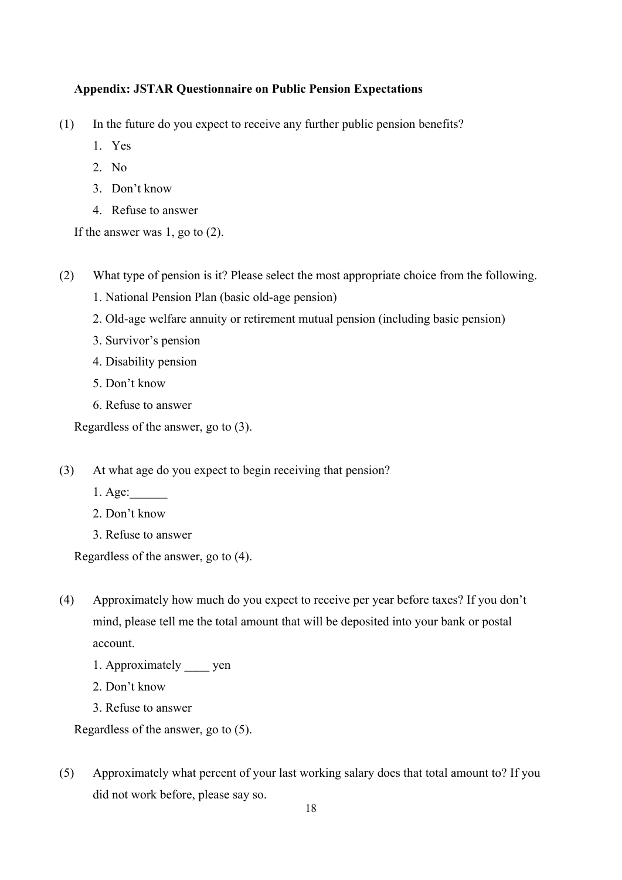# **Appendix: JSTAR Questionnaire on Public Pension Expectations**

- (1) In the future do you expect to receive any further public pension benefits?
	- 1. Yes
	- 2. No
	- 3. Don't know
	- 4. Refuse to answer

If the answer was 1, go to (2).

(2) What type of pension is it? Please select the most appropriate choice from the following.

- 1. National Pension Plan (basic old-age pension)
- 2. Old-age welfare annuity or retirement mutual pension (including basic pension)
- 3. Survivor's pension
- 4. Disability pension
- 5. Don't know
- 6. Refuse to answer

Regardless of the answer, go to (3).

- (3) At what age do you expect to begin receiving that pension?
	- 1. Age:\_\_\_\_\_\_
	- 2. Don't know
	- 3. Refuse to answer

Regardless of the answer, go to (4).

- (4) Approximately how much do you expect to receive per year before taxes? If you don't mind, please tell me the total amount that will be deposited into your bank or postal account.
	- 1. Approximately \_\_\_\_ yen
	- 2. Don't know
	- 3. Refuse to answer

Regardless of the answer, go to (5).

(5) Approximately what percent of your last working salary does that total amount to? If you did not work before, please say so.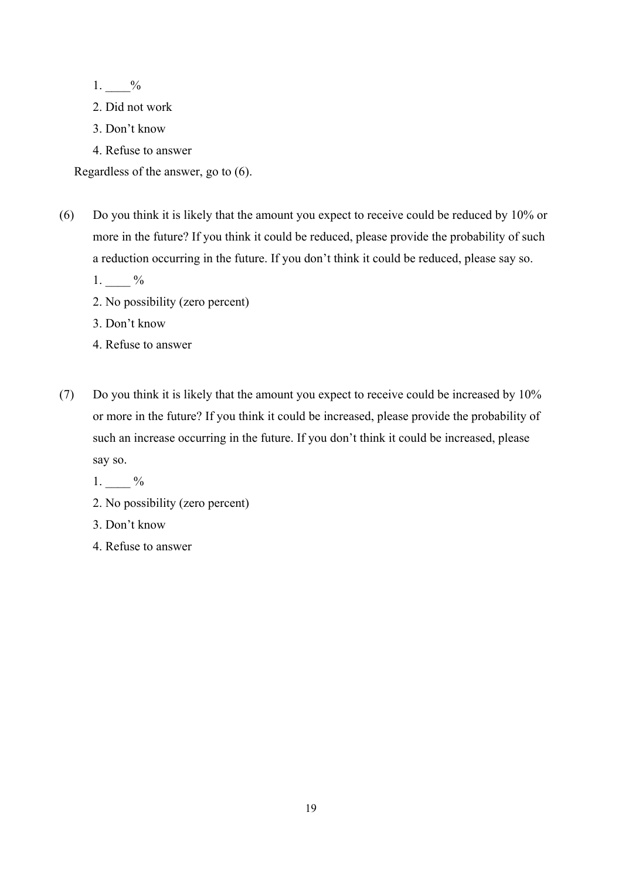1. %

- 2. Did not work
- 3. Don't know
- 4. Refuse to answer

Regardless of the answer, go to (6).

(6) Do you think it is likely that the amount you expect to receive could be reduced by 10% or more in the future? If you think it could be reduced, please provide the probability of such a reduction occurring in the future. If you don't think it could be reduced, please say so.

1.  $\frac{9}{6}$ 

- 2. No possibility (zero percent)
- 3. Don't know
- 4. Refuse to answer
- (7) Do you think it is likely that the amount you expect to receive could be increased by 10% or more in the future? If you think it could be increased, please provide the probability of such an increase occurring in the future. If you don't think it could be increased, please say so.

1.  $\frac{9}{6}$ 

# 2. No possibility (zero percent)

- 3. Don't know
- 4. Refuse to answer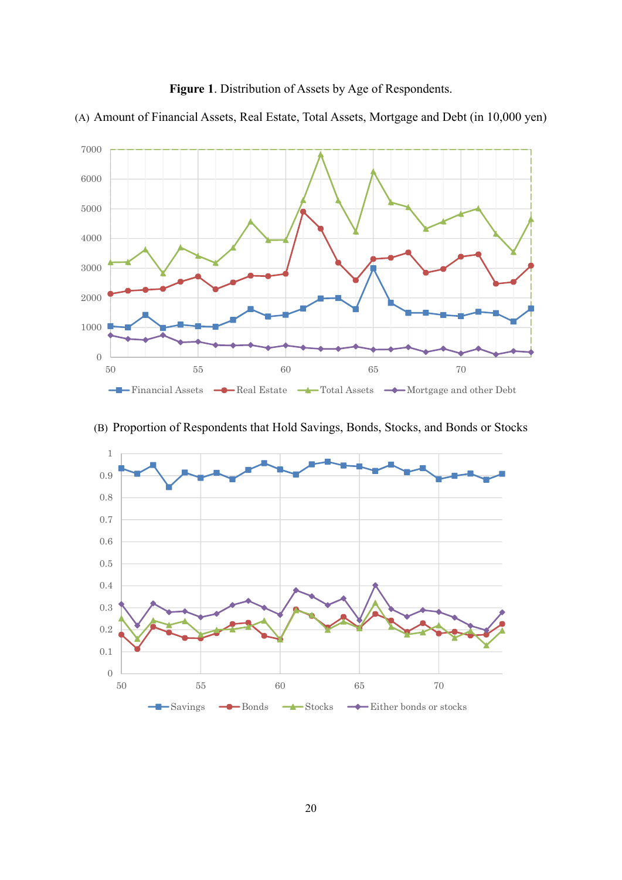





# (B) Proportion of Respondents that Hold Savings, Bonds, Stocks, and Bonds or Stocks

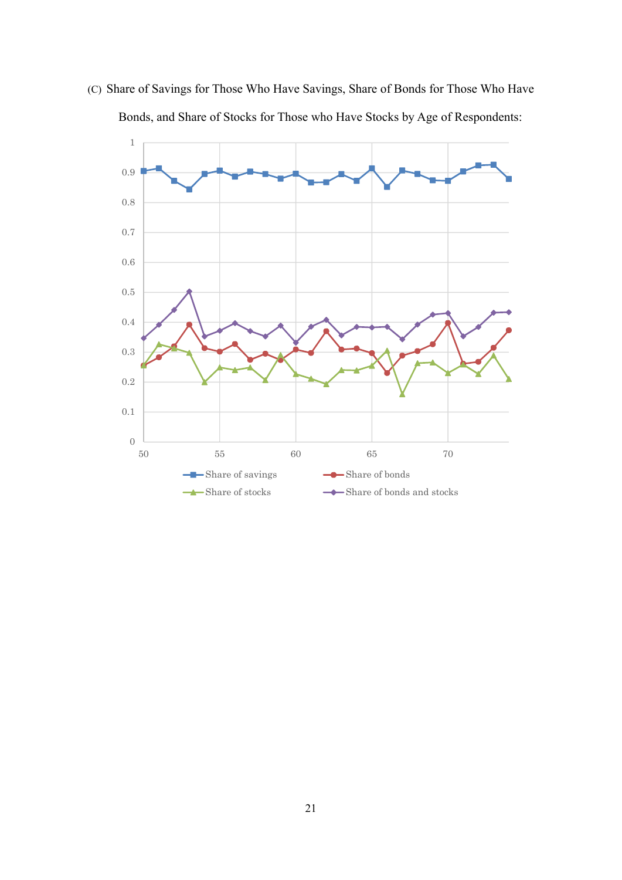

(C) Share of Savings for Those Who Have Savings, Share of Bonds for Those Who Have Bonds, and Share of Stocks for Those who Have Stocks by Age of Respondents: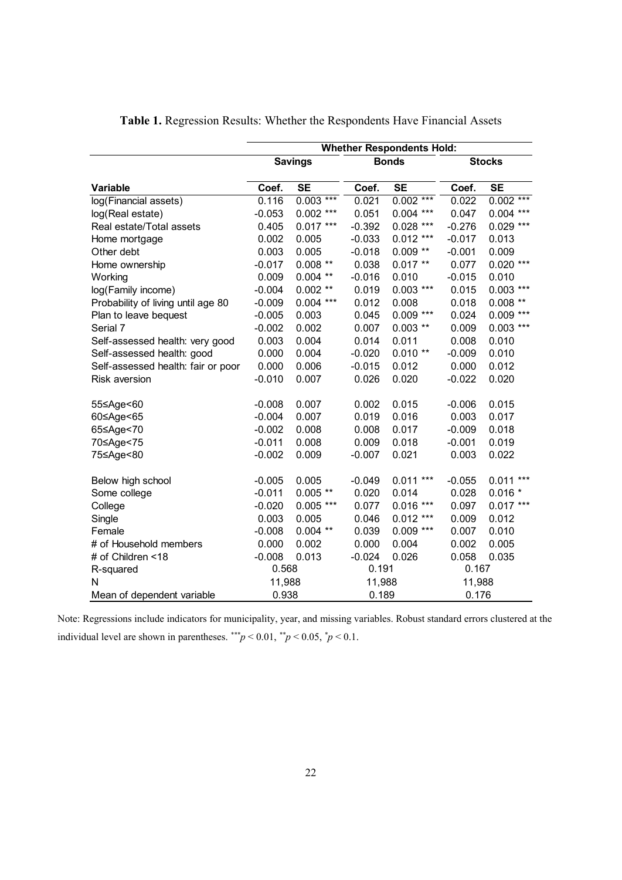|                                    | <b>Whether Respondents Hold:</b> |                |          |                |               |                |  |  |
|------------------------------------|----------------------------------|----------------|----------|----------------|---------------|----------------|--|--|
|                                    |                                  | <b>Savings</b> |          | <b>Bonds</b>   | <b>Stocks</b> |                |  |  |
| <b>Variable</b>                    | Coef.                            | <b>SE</b>      | Coef.    | <b>SE</b>      | Coef.         | <b>SE</b>      |  |  |
| log(Financial assets)              | 0.116                            | $0.003$ ***    | 0.021    | $0.002***$     | 0.022         | $0.002***$     |  |  |
| log(Real estate)                   | $-0.053$                         | $0.002$ ***    | 0.051    | $0.004$ ***    | 0.047         | $***$<br>0.004 |  |  |
| Real estate/Total assets           | 0.405                            | $0.017***$     | $-0.392$ | $0.028$ ***    | $-0.276$      | $0.029$ ***    |  |  |
| Home mortgage                      | 0.002                            | 0.005          | $-0.033$ | $0.012$ ***    | $-0.017$      | 0.013          |  |  |
| Other debt                         | 0.003                            | 0.005          | $-0.018$ | $0.009**$      | $-0.001$      | 0.009          |  |  |
| Home ownership                     | $-0.017$                         | $0.008$ **     | 0.038    | $0.017**$      | 0.077         | $0.020$ ***    |  |  |
| Working                            | 0.009                            | $0.004$ **     | $-0.016$ | 0.010          | $-0.015$      | 0.010          |  |  |
| log(Family income)                 | $-0.004$                         | $0.002$ **     | 0.019    | $0.003$ ***    | 0.015         | $0.003$ ***    |  |  |
| Probability of living until age 80 | $-0.009$                         | $0.004$ ***    | 0.012    | 0.008          | 0.018         | $0.008$ **     |  |  |
| Plan to leave bequest              | $-0.005$                         | 0.003          | 0.045    | $0.009$ ***    | 0.024         | $0.009$ ***    |  |  |
| Serial 7                           | $-0.002$                         | 0.002          | 0.007    | $0.003$ **     | 0.009         | $0.003$ ***    |  |  |
| Self-assessed health: very good    | 0.003                            | 0.004          | 0.014    | 0.011          | 0.008         | 0.010          |  |  |
| Self-assessed health: good         | 0.000                            | 0.004          | $-0.020$ | $0.010**$      | $-0.009$      | 0.010          |  |  |
| Self-assessed health: fair or poor | 0.000                            | 0.006          | $-0.015$ | 0.012          | 0.000         | 0.012          |  |  |
| <b>Risk aversion</b>               | $-0.010$                         | 0.007          | 0.026    | 0.020          | $-0.022$      | 0.020          |  |  |
| 55≤Age<60                          | $-0.008$                         | 0.007          | 0.002    | 0.015          | $-0.006$      | 0.015          |  |  |
| 60≤Age<65                          | $-0.004$                         | 0.007          | 0.019    | 0.016          | 0.003         | 0.017          |  |  |
| 65≤Age<70                          | $-0.002$                         | 0.008          | 0.008    | 0.017          | $-0.009$      | 0.018          |  |  |
| 70≤Age<75                          | $-0.011$                         | 0.008          | 0.009    | 0.018          | $-0.001$      | 0.019          |  |  |
| 75≤Age<80                          | $-0.002$                         | 0.009          | $-0.007$ | 0.021          | 0.003         | 0.022          |  |  |
| Below high school                  | $-0.005$                         | 0.005          | $-0.049$ | $***$<br>0.011 | $-0.055$      | $***$<br>0.011 |  |  |
| Some college                       | $-0.011$                         | $0.005$ **     | 0.020    | 0.014          | 0.028         | $0.016*$       |  |  |
| College                            | $-0.020$                         | $0.005$ ***    | 0.077    | $0.016***$     | 0.097         | $0.017***$     |  |  |
| Single                             | 0.003                            | 0.005          | 0.046    | $0.012***$     | 0.009         | 0.012          |  |  |
| Female                             | $-0.008$                         | $0.004$ **     | 0.039    | $0.009$ ***    | 0.007         | 0.010          |  |  |
| # of Household members             | 0.000                            | 0.002          | 0.000    | 0.004          | 0.002         | 0.005          |  |  |
| # of Children <18                  | $-0.008$                         | 0.013          | $-0.024$ | 0.026          | 0.058         | 0.035          |  |  |
| R-squared                          | 0.568                            |                | 0.191    |                | 0.167         |                |  |  |
| N                                  | 11,988                           |                | 11,988   |                | 11,988        |                |  |  |
| Mean of dependent variable         | 0.938                            |                | 0.189    |                | 0.176         |                |  |  |

**Table 1.** Regression Results: Whether the Respondents Have Financial Assets

Note: Regressions include indicators for municipality, year, and missing variables. Robust standard errors clustered at the individual level are shown in parentheses.  $\frac{f^{*}}{p}$  < 0.01,  $\frac{f^{*}}{p}$  < 0.05,  $\frac{f^{*}}{p}$  < 0.1.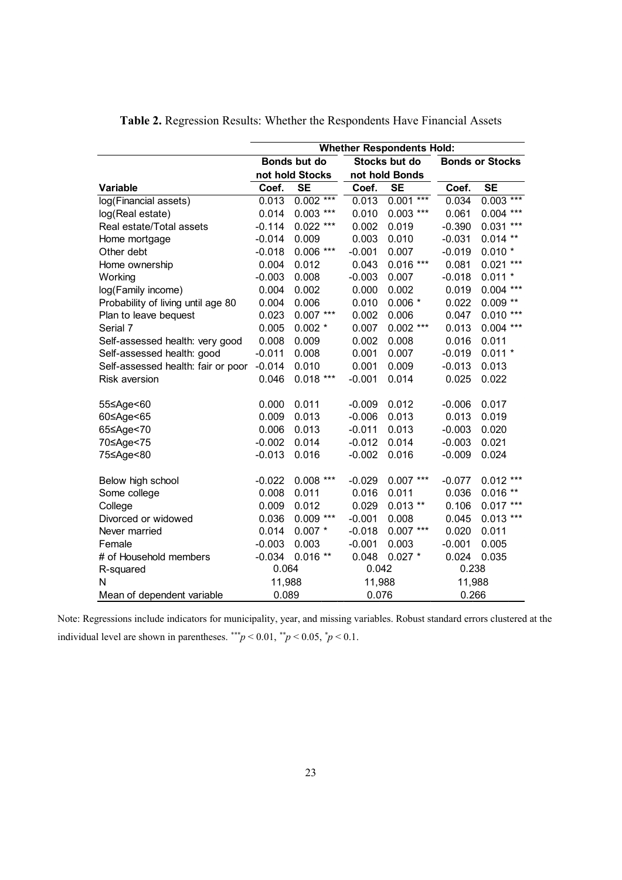|                                    | <b>Whether Respondents Hold:</b> |                 |          |                |                        |                |  |  |
|------------------------------------|----------------------------------|-----------------|----------|----------------|------------------------|----------------|--|--|
|                                    |                                  | Bonds but do    |          | Stocks but do  | <b>Bonds or Stocks</b> |                |  |  |
|                                    |                                  | not hold Stocks |          | not hold Bonds |                        |                |  |  |
| Variable                           | Coef.                            | <b>SE</b>       | Coef.    | <b>SE</b>      | Coef.                  | <b>SE</b>      |  |  |
| log(Financial assets)              | 0.013                            | $0.002***$      | 0.013    | $***$<br>0.001 | 0.034                  | $0.003***$     |  |  |
| log(Real estate)                   | 0.014                            | $0.003$ ***     | 0.010    | $0.003$ ***    | 0.061                  | $0.004$ ***    |  |  |
| Real estate/Total assets           | $-0.114$                         | $0.022$ ***     | 0.002    | 0.019          | $-0.390$               | $0.031***$     |  |  |
| Home mortgage                      | $-0.014$                         | 0.009           | 0.003    | 0.010          | $-0.031$               | $0.014$ **     |  |  |
| Other debt                         | $-0.018$                         | $0.006$ ***     | $-0.001$ | 0.007          | $-0.019$               | $0.010*$       |  |  |
| Home ownership                     | 0.004                            | 0.012           | 0.043    | $0.016***$     | 0.081                  | $0.021$ ***    |  |  |
| Working                            | $-0.003$                         | 0.008           | $-0.003$ | 0.007          | $-0.018$               | $0.011 *$      |  |  |
| log(Family income)                 | 0.004                            | 0.002           | 0.000    | 0.002          | 0.019                  | $0.004$ ***    |  |  |
| Probability of living until age 80 | 0.004                            | 0.006           | 0.010    | $0.006*$       | 0.022                  | $0.009$ **     |  |  |
| Plan to leave bequest              | 0.023                            | $0.007***$      | 0.002    | 0.006          | 0.047                  | $0.010***$     |  |  |
| Serial 7                           | 0.005                            | $0.002*$        | 0.007    | $0.002$ ***    | 0.013                  | $0.004$ ***    |  |  |
| Self-assessed health: very good    | 0.008                            | 0.009           | 0.002    | 0.008          | 0.016                  | 0.011          |  |  |
| Self-assessed health: good         | $-0.011$                         | 0.008           | 0.001    | 0.007          | $-0.019$               | $0.011 *$      |  |  |
| Self-assessed health: fair or poor | $-0.014$                         | 0.010           | 0.001    | 0.009          | $-0.013$               | 0.013          |  |  |
| <b>Risk aversion</b>               | 0.046                            | $0.018***$      | $-0.001$ | 0.014          | 0.025                  | 0.022          |  |  |
|                                    |                                  |                 |          |                |                        |                |  |  |
| 55≤Age<60                          | 0.000                            | 0.011           | $-0.009$ | 0.012          | $-0.006$               | 0.017          |  |  |
| 60≤Age<65                          | 0.009                            | 0.013           | $-0.006$ | 0.013          | 0.013                  | 0.019          |  |  |
| 65≤Age<70                          | 0.006                            | 0.013           | $-0.011$ | 0.013          | $-0.003$               | 0.020          |  |  |
| 70≤Age<75                          | $-0.002$                         | 0.014           | $-0.012$ | 0.014          | $-0.003$               | 0.021          |  |  |
| 75≤Age<80                          | $-0.013$                         | 0.016           | $-0.002$ | 0.016          | $-0.009$               | 0.024          |  |  |
|                                    |                                  |                 |          |                |                        |                |  |  |
| Below high school                  | $-0.022$                         | $0.008$ ***     | $-0.029$ | $0.007***$     | $-0.077$               | $0.012$ ***    |  |  |
| Some college                       | 0.008                            | 0.011           | 0.016    | 0.011          | 0.036                  | $***$<br>0.016 |  |  |
| College                            | 0.009                            | 0.012           | 0.029    | $0.013$ **     | 0.106                  | $0.017***$     |  |  |
| Divorced or widowed                | 0.036                            | $0.009***$      | $-0.001$ | 0.008          | 0.045                  | $0.013***$     |  |  |
| Never married                      | 0.014                            | $0.007*$        | $-0.018$ | $0.007***$     | 0.020                  | 0.011          |  |  |
| Female                             | $-0.003$                         | 0.003           | $-0.001$ | 0.003          | $-0.001$               | 0.005          |  |  |
| # of Household members             | $-0.034$                         | $0.016**$       | 0.048    | $0.027$ *      | 0.024                  | 0.035          |  |  |
| R-squared                          | 0.064                            |                 | 0.042    |                | 0.238                  |                |  |  |
| N                                  | 11,988                           |                 | 11,988   |                | 11,988                 |                |  |  |
| Mean of dependent variable         | 0.089                            |                 | 0.076    |                | 0.266                  |                |  |  |

**Table 2.** Regression Results: Whether the Respondents Have Financial Assets

Note: Regressions include indicators for municipality, year, and missing variables. Robust standard errors clustered at the individual level are shown in parentheses.  $\frac{f^{*}}{p}$  < 0.01,  $\frac{f^{*}}{p}$  < 0.05,  $\frac{f^{*}}{p}$  < 0.1.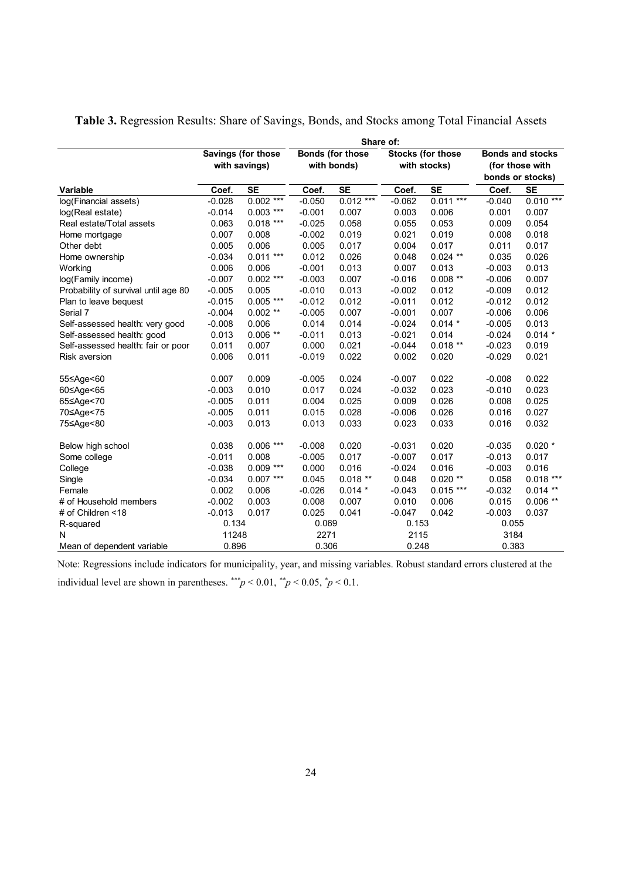|                                      | Share of:     |                    |             |                         |          |                          |                 |                         |  |
|--------------------------------------|---------------|--------------------|-------------|-------------------------|----------|--------------------------|-----------------|-------------------------|--|
|                                      |               | Savings (for those |             | <b>Bonds (for those</b> |          | <b>Stocks (for those</b> |                 | <b>Bonds and stocks</b> |  |
|                                      | with savings) |                    | with bonds) |                         |          | with stocks)             | (for those with |                         |  |
|                                      |               |                    |             |                         |          |                          |                 | bonds or stocks)        |  |
| <b>Variable</b>                      | Coef.         | <b>SE</b>          | Coef.       | <b>SE</b>               | Coef.    | <b>SE</b>                | Coef.           | <b>SE</b>               |  |
| log(Financial assets)                | $-0.028$      | $0.002***$         | $-0.050$    | $0.012***$              | $-0.062$ | $0.011***$               | $-0.040$        | $0.010***$              |  |
| log(Real estate)                     | $-0.014$      | $0.003$ ***        | $-0.001$    | 0.007                   | 0.003    | 0.006                    | 0.001           | 0.007                   |  |
| Real estate/Total assets             | 0.063         | $0.018$ ***        | $-0.025$    | 0.058                   | 0.055    | 0.053                    | 0.009           | 0.054                   |  |
| Home mortgage                        | 0.007         | 0.008              | $-0.002$    | 0.019                   | 0.021    | 0.019                    | 0.008           | 0.018                   |  |
| Other debt                           | 0.005         | 0.006              | 0.005       | 0.017                   | 0.004    | 0.017                    | 0.011           | 0.017                   |  |
| Home ownership                       | $-0.034$      | $0.011***$         | 0.012       | 0.026                   | 0.048    | $0.024$ **               | 0.035           | 0.026                   |  |
| Working                              | 0.006         | 0.006              | $-0.001$    | 0.013                   | 0.007    | 0.013                    | $-0.003$        | 0.013                   |  |
| log(Family income)                   | $-0.007$      | $0.002$ ***        | $-0.003$    | 0.007                   | $-0.016$ | $0.008$ **               | $-0.006$        | 0.007                   |  |
| Probability of survival until age 80 | $-0.005$      | 0.005              | $-0.010$    | 0.013                   | $-0.002$ | 0.012                    | $-0.009$        | 0.012                   |  |
| Plan to leave bequest                | $-0.015$      | $0.005$ ***        | $-0.012$    | 0.012                   | $-0.011$ | 0.012                    | $-0.012$        | 0.012                   |  |
| Serial 7                             | $-0.004$      | $0.002$ **         | $-0.005$    | 0.007                   | $-0.001$ | 0.007                    | $-0.006$        | 0.006                   |  |
| Self-assessed health: very good      | $-0.008$      | 0.006              | 0.014       | 0.014                   | $-0.024$ | $0.014*$                 | $-0.005$        | 0.013                   |  |
| Self-assessed health: good           | 0.013         | $0.006**$          | $-0.011$    | 0.013                   | $-0.021$ | 0.014                    | $-0.024$        | $0.014*$                |  |
| Self-assessed health: fair or poor   | 0.011         | 0.007              | 0.000       | 0.021                   | $-0.044$ | $0.018**$                | $-0.023$        | 0.019                   |  |
| <b>Risk aversion</b>                 | 0.006         | 0.011              | $-0.019$    | 0.022                   | 0.002    | 0.020                    | $-0.029$        | 0.021                   |  |
| 55≤Age<60                            | 0.007         | 0.009              | $-0.005$    | 0.024                   | $-0.007$ | 0.022                    | $-0.008$        | 0.022                   |  |
| 60≤Age<65                            | $-0.003$      | 0.010              | 0.017       | 0.024                   | $-0.032$ | 0.023                    | $-0.010$        | 0.023                   |  |
| 65≤Age<70                            | $-0.005$      | 0.011              | 0.004       | 0.025                   | 0.009    | 0.026                    | 0.008           | 0.025                   |  |
| 70≤Age<75                            | $-0.005$      | 0.011              | 0.015       | 0.028                   | $-0.006$ | 0.026                    | 0.016           | 0.027                   |  |
| 75≤Age<80                            | $-0.003$      | 0.013              | 0.013       | 0.033                   | 0.023    | 0.033                    | 0.016           | 0.032                   |  |
| Below high school                    | 0.038         | $0.006***$         | $-0.008$    | 0.020                   | $-0.031$ | 0.020                    | $-0.035$        | $0.020*$                |  |
| Some college                         | $-0.011$      | 0.008              | $-0.005$    | 0.017                   | $-0.007$ | 0.017                    | $-0.013$        | 0.017                   |  |
| College                              | $-0.038$      | $0.009$ ***        | 0.000       | 0.016                   | $-0.024$ | 0.016                    | $-0.003$        | 0.016                   |  |
| Single                               | $-0.034$      | $0.007***$         | 0.045       | $0.018**$               | 0.048    | $0.020**$                | 0.058           | $0.018***$              |  |
| Female                               | 0.002         | 0.006              | $-0.026$    | $0.014*$                | $-0.043$ | $0.015***$               | $-0.032$        | $0.014$ **              |  |
| # of Household members               | $-0.002$      | 0.003              | 0.008       | 0.007                   | 0.010    | 0.006                    | 0.015           | $0.006$ **              |  |
| # of Children <18                    | $-0.013$      | 0.017              | 0.025       | 0.041                   | $-0.047$ | 0.042                    | $-0.003$        | 0.037                   |  |
| R-squared                            | 0.134         |                    | 0.069       |                         | 0.153    |                          | 0.055           |                         |  |
| N                                    | 11248         |                    | 2271        |                         | 2115     |                          | 3184            |                         |  |
| Mean of dependent variable           | 0.896         |                    | 0.306       |                         | 0.248    |                          | 0.383           |                         |  |

**Table 3.** Regression Results: Share of Savings, Bonds, and Stocks among Total Financial Assets

Note: Regressions include indicators for municipality, year, and missing variables. Robust standard errors clustered at the

individual level are shown in parentheses.  $\frac{f^{*}}{p}$  < 0.01,  $\frac{f^{*}}{p}$  < 0.05,  $\frac{f^{*}}{p}$  < 0.1.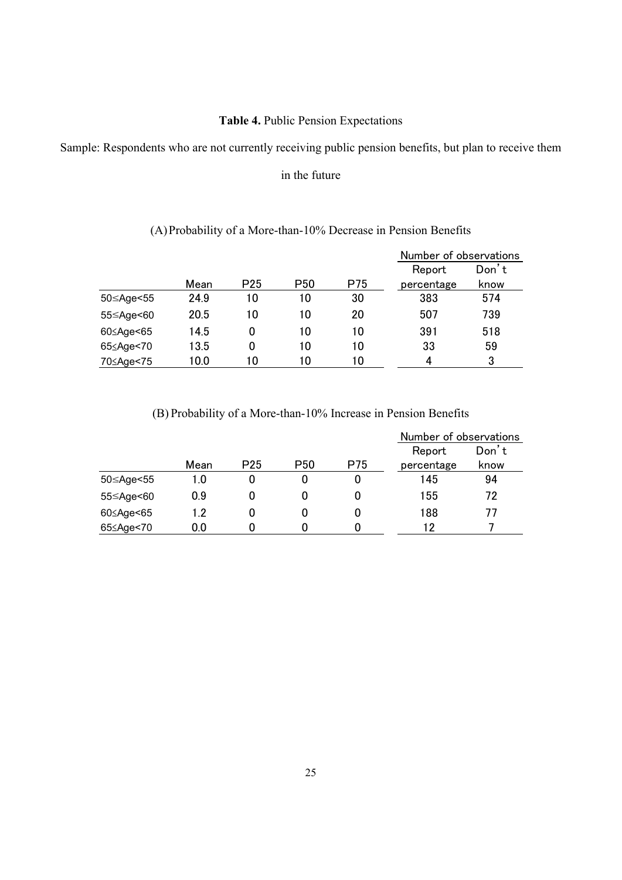# **Table 4.** Public Pension Expectations

Sample: Respondents who are not currently receiving public pension benefits, but plan to receive them

in the future

|           |      |                 |                 |     | Number of observations |       |
|-----------|------|-----------------|-----------------|-----|------------------------|-------|
|           |      |                 |                 |     | Report                 | Don't |
|           | Mean | P <sub>25</sub> | P <sub>50</sub> | P75 | percentage             | know  |
| 50≤Age<55 | 24.9 | 10              | 10              | 30  | 383                    | 574   |
| 55≤Age<60 | 20.5 | 10              | 10              | 20  | 507                    | 739   |
| 60≤Age<65 | 14.5 | 0               | 10              | 10  | 391                    | 518   |
| 65≤Age<70 | 13.5 | 0               | 10              | 10  | 33                     | 59    |
| 70≤Age<75 | 10.0 | 10              | 10              | 10  | 4                      | 3     |

# (A)Probability of a More-than-10% Decrease in Pension Benefits

(B) Probability of a More-than-10% Increase in Pension Benefits

|           |      |                 |                 |     | Number of observations |       |  |
|-----------|------|-----------------|-----------------|-----|------------------------|-------|--|
|           |      |                 |                 |     | Report                 | Don't |  |
|           | Mean | P <sub>25</sub> | P <sub>50</sub> | P75 | percentage             | know  |  |
| 50≤Age<55 | 1.0  |                 | 0               | U   | 145                    | 94    |  |
| 55≤Age<60 | 0.9  |                 |                 |     | 155                    | 72    |  |
| 60≤Age<65 | 1.2  |                 |                 |     | 188                    |       |  |
| 65≤Age<70 | 0.0  |                 |                 |     | 12                     |       |  |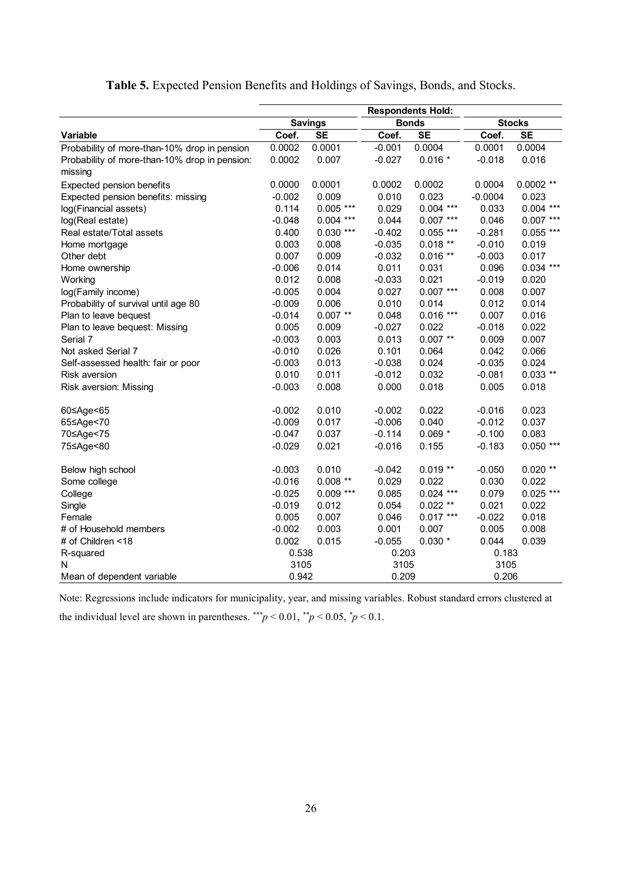|                                               | <b>Savings</b> |             |          | <b>Bonds</b> | <b>Stocks</b> |             |  |
|-----------------------------------------------|----------------|-------------|----------|--------------|---------------|-------------|--|
| <b>Variable</b>                               | Coef.          | <b>SE</b>   | Coef.    | <b>SE</b>    | Coef.         | <b>SE</b>   |  |
| Probability of more-than-10% drop in pension  | 0.0002         | 0.0001      | $-0.001$ | 0.0004       | 0.0001        | 0.0004      |  |
| Probability of more-than-10% drop in pension: | 0.0002         | 0.007       | $-0.027$ | $0.016*$     | $-0.018$      | 0.016       |  |
| missing                                       |                |             |          |              |               |             |  |
| Expected pension benefits                     | 0.0000         | 0.0001      | 0.0002   | 0.0002       | 0.0004        | $0.0002**$  |  |
| Expected pension benefits: missing            | $-0.002$       | 0.009       | 0.010    | 0.023        | $-0.0004$     | 0.023       |  |
| log(Financial assets)                         | 0.114          | $0.005$ *** | 0.029    | $0.004$ ***  | 0.033         | $0.004$ *** |  |
| log(Real estate)                              | $-0.048$       | $0.004$ *** | 0.044    | $0.007$ ***  | 0.046         | $0.007$ *** |  |
| Real estate/Total assets                      | 0.400          | $0.030***$  | $-0.402$ | $0.055$ ***  | $-0.281$      | $0.055$ *** |  |
| Home mortgage                                 | 0.003          | 0.008       | $-0.035$ | $0.018**$    | $-0.010$      | 0.019       |  |
| Other debt                                    | 0.007          | 0.009       | $-0.032$ | $0.016**$    | $-0.003$      | 0.017       |  |
| Home ownership                                | $-0.006$       | 0.014       | 0.011    | 0.031        | 0.096         | $0.034$ *** |  |
| Working                                       | 0.012          | 0.008       | $-0.033$ | 0.021        | $-0.019$      | 0.020       |  |
| log(Family income)                            | $-0.005$       | 0.004       | 0.027    | $0.007***$   | 0.008         | 0.007       |  |
| Probability of survival until age 80          | $-0.009$       | 0.006       | 0.010    | 0.014        | 0.012         | 0.014       |  |
| Plan to leave bequest                         | $-0.014$       | $0.007**$   | 0.048    | $0.016$ ***  | 0.007         | 0.016       |  |
| Plan to leave bequest: Missing                | 0.005          | 0.009       | $-0.027$ | 0.022        | $-0.018$      | 0.022       |  |
| Serial 7                                      | $-0.003$       | 0.003       | 0.013    | $0.007$ **   | 0.009         | 0.007       |  |
| Not asked Serial 7                            | $-0.010$       | 0.026       | 0.101    | 0.064        | 0.042         | 0.066       |  |
| Self-assessed health: fair or poor            | $-0.003$       | 0.013       | $-0.038$ | 0.024        | $-0.035$      | 0.024       |  |
| <b>Risk aversion</b>                          | 0.010          | 0.011       | $-0.012$ | 0.032        | $-0.081$      | $0.033**$   |  |
| Risk aversion: Missing                        | $-0.003$       | 0.008       | 0.000    | 0.018        | 0.005         | 0.018       |  |
| 60≤Age<65                                     | $-0.002$       | 0.010       | $-0.002$ | 0.022        | $-0.016$      | 0.023       |  |
| 65≤Age<70                                     | $-0.009$       | 0.017       | $-0.006$ | 0.040        | $-0.012$      | 0.037       |  |
| 70≤Age<75                                     | $-0.047$       | 0.037       | $-0.114$ | $0.069*$     | $-0.100$      | 0.083       |  |
| 75≤Age<80                                     | $-0.029$       | 0.021       | $-0.016$ | 0.155        | $-0.183$      | $0.050$ *** |  |
| Below high school                             | $-0.003$       | 0.010       | $-0.042$ | $0.019**$    | $-0.050$      | $0.020**$   |  |
| Some college                                  | $-0.016$       | $0.008$ **  | 0.029    | 0.022        | 0.030         | 0.022       |  |
| College                                       | $-0.025$       | $0.009$ *** | 0.085    | $0.024$ ***  | 0.079         | $0.025$ *** |  |
| Single                                        | $-0.019$       | 0.012       | 0.054    | $0.022**$    | 0.021         | 0.022       |  |
| Female                                        | 0.005          | 0.007       | 0.046    | $0.017***$   | $-0.022$      | 0.018       |  |
| # of Household members                        | $-0.002$       | 0.003       | 0.001    | 0.007        | 0.005         | 0.008       |  |
| # of Children <18                             | 0.002          | 0.015       | $-0.055$ | $0.030*$     | 0.044         | 0.039       |  |
| R-squared                                     | 0.538          |             | 0.203    |              | 0.183         |             |  |
| N                                             | 3105           |             | 3105     |              | 3105          |             |  |
| Mean of dependent variable                    | 0.942          |             | 0.209    |              | 0.206         |             |  |

# **Table 5.** Expected Pension Benefits and Holdings of Savings, Bonds, and Stocks.

Note: Regressions include indicators for municipality, year, and missing variables. Robust standard errors clustered at the individual level are shown in parentheses.  $^{**}p < 0.01$ ,  $^{**}p < 0.05$ ,  $^{*}p < 0.1$ .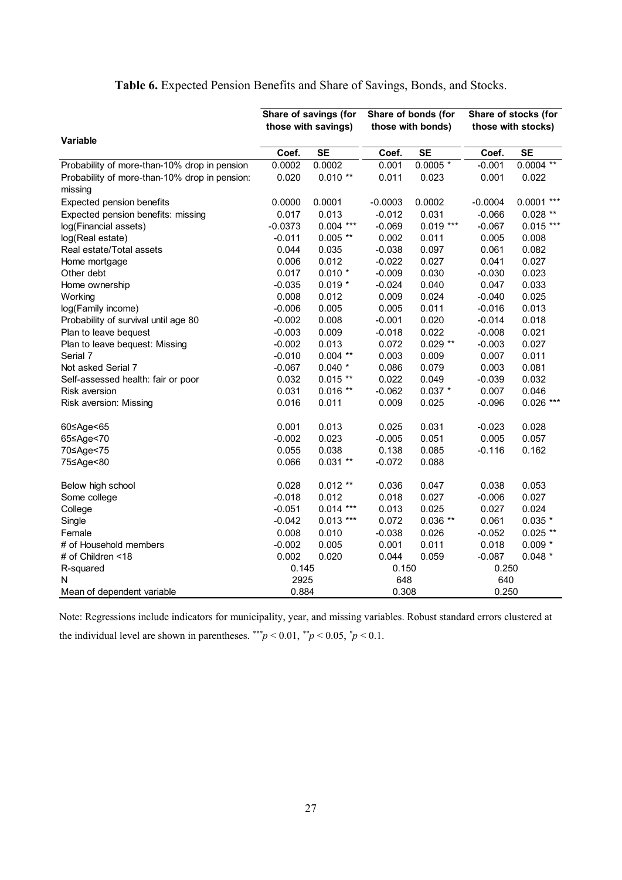|                                               | Share of savings (for |                     |           | Share of bonds (for | Share of stocks (for |              |  |
|-----------------------------------------------|-----------------------|---------------------|-----------|---------------------|----------------------|--------------|--|
|                                               |                       | those with savings) |           | those with bonds)   | those with stocks)   |              |  |
| <b>Variable</b>                               |                       |                     |           |                     |                      |              |  |
|                                               | Coef.                 | <b>SE</b>           | Coef.     | <b>SE</b>           | Coef.                | <b>SE</b>    |  |
| Probability of more-than-10% drop in pension  | 0.0002                | 0.0002              | 0.001     | $0.0005*$           | $-0.001$             | $0.0004$ **  |  |
| Probability of more-than-10% drop in pension: | 0.020                 | $0.010**$           | 0.011     | 0.023               | 0.001                | 0.022        |  |
| missing                                       |                       |                     |           |                     |                      |              |  |
| Expected pension benefits                     | 0.0000                | 0.0001              | $-0.0003$ | 0.0002              | $-0.0004$            | $0.0001$ *** |  |
| Expected pension benefits: missing            | 0.017                 | 0.013               | $-0.012$  | 0.031               | $-0.066$             | $0.028**$    |  |
| log(Financial assets)                         | $-0.0373$             | $0.004$ ***         | $-0.069$  | $0.019***$          | $-0.067$             | $0.015***$   |  |
| log(Real estate)                              | $-0.011$              | $0.005$ **          | 0.002     | 0.011               | 0.005                | 0.008        |  |
| Real estate/Total assets                      | 0.044                 | 0.035               | $-0.038$  | 0.097               | 0.061                | 0.082        |  |
| Home mortgage                                 | 0.006                 | 0.012               | $-0.022$  | 0.027               | 0.041                | 0.027        |  |
| Other debt                                    | 0.017                 | $0.010*$            | $-0.009$  | 0.030               | $-0.030$             | 0.023        |  |
| Home ownership                                | $-0.035$              | $0.019*$            | $-0.024$  | 0.040               | 0.047                | 0.033        |  |
| Working                                       | 0.008                 | 0.012               | 0.009     | 0.024               | $-0.040$             | 0.025        |  |
| log(Family income)                            | $-0.006$              | 0.005               | 0.005     | 0.011               | $-0.016$             | 0.013        |  |
| Probability of survival until age 80          | $-0.002$              | 0.008               | $-0.001$  | 0.020               | $-0.014$             | 0.018        |  |
| Plan to leave bequest                         | $-0.003$              | 0.009               | $-0.018$  | 0.022               | $-0.008$             | 0.021        |  |
| Plan to leave bequest: Missing                | $-0.002$              | 0.013               | 0.072     | $0.029**$           | $-0.003$             | 0.027        |  |
| Serial 7                                      | $-0.010$              | $0.004$ **          | 0.003     | 0.009               | 0.007                | 0.011        |  |
| Not asked Serial 7                            | $-0.067$              | $0.040*$            | 0.086     | 0.079               | 0.003                | 0.081        |  |
| Self-assessed health: fair or poor            | 0.032                 | $0.015**$           | 0.022     | 0.049               | $-0.039$             | 0.032        |  |
| <b>Risk aversion</b>                          | 0.031                 | $0.016**$           | $-0.062$  | $0.037*$            | 0.007                | 0.046        |  |
| Risk aversion: Missing                        | 0.016                 | 0.011               | 0.009     | 0.025               | $-0.096$             | $0.026$ ***  |  |
| 60≤Age<65                                     | 0.001                 | 0.013               | 0.025     | 0.031               | $-0.023$             | 0.028        |  |
| 65≤Age<70                                     | $-0.002$              | 0.023               | $-0.005$  | 0.051               | 0.005                | 0.057        |  |
| 70≤Age<75                                     | 0.055                 | 0.038               | 0.138     | 0.085               | $-0.116$             | 0.162        |  |
| 75≤Age<80                                     | 0.066                 | $0.031**$           | $-0.072$  | 0.088               |                      |              |  |
| Below high school                             | 0.028                 | $0.012**$           | 0.036     | 0.047               | 0.038                | 0.053        |  |
| Some college                                  | $-0.018$              | 0.012               | 0.018     | 0.027               | $-0.006$             | 0.027        |  |
| College                                       | $-0.051$              | $0.014***$          | 0.013     | 0.025               | 0.027                | 0.024        |  |
| Single                                        | $-0.042$              | $0.013$ ***         | 0.072     | $0.036**$           | 0.061                | $0.035*$     |  |
| Female                                        | 0.008                 | 0.010               | $-0.038$  | 0.026               | $-0.052$             | $0.025$ **   |  |
| # of Household members                        | $-0.002$              | 0.005               | 0.001     | 0.011               | 0.018                | $0.009 *$    |  |
| # of Children <18                             | 0.002                 | 0.020               | 0.044     | 0.059               | $-0.087$             | $0.048*$     |  |
| R-squared                                     | 0.145                 |                     | 0.150     |                     | 0.250                |              |  |
| N                                             | 2925                  |                     | 648       |                     | 640                  |              |  |
| Mean of dependent variable                    | 0.884                 |                     | 0.308     |                     | 0.250                |              |  |

# **Table 6.** Expected Pension Benefits and Share of Savings, Bonds, and Stocks.

Note: Regressions include indicators for municipality, year, and missing variables. Robust standard errors clustered at the individual level are shown in parentheses.  $^{**}p < 0.01$ ,  $^{**}p < 0.05$ ,  $^{*}p < 0.1$ .